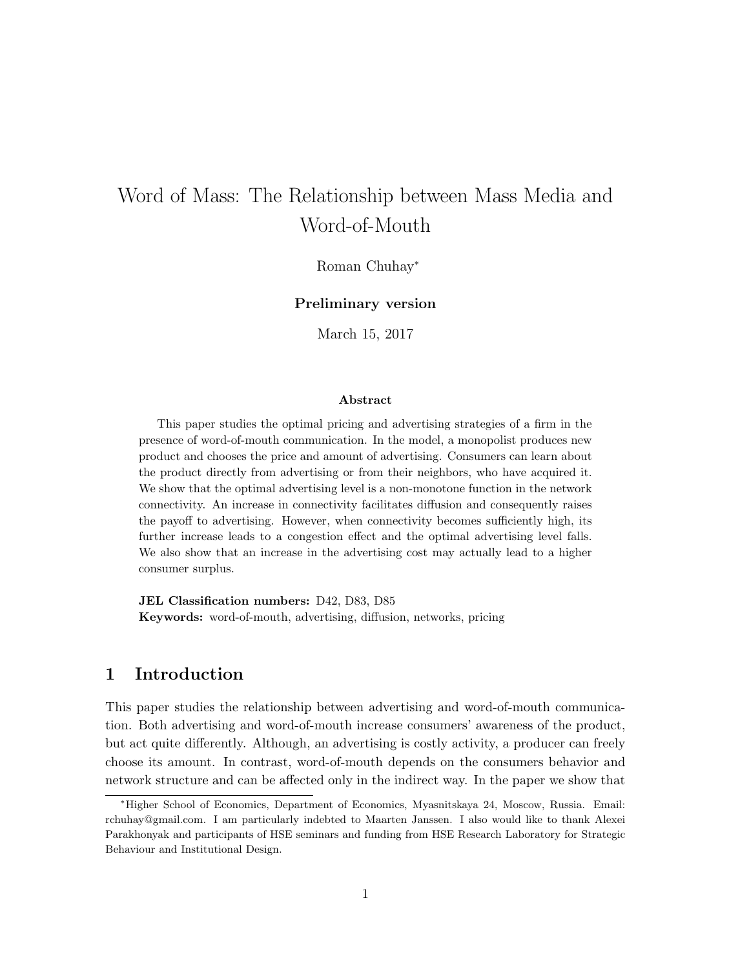# Word of Mass: The Relationship between Mass Media and Word-of-Mouth

Roman Chuhay<sup>∗</sup>

### Preliminary version

March 15, 2017

#### Abstract

This paper studies the optimal pricing and advertising strategies of a firm in the presence of word-of-mouth communication. In the model, a monopolist produces new product and chooses the price and amount of advertising. Consumers can learn about the product directly from advertising or from their neighbors, who have acquired it. We show that the optimal advertising level is a non-monotone function in the network connectivity. An increase in connectivity facilitates diffusion and consequently raises the payoff to advertising. However, when connectivity becomes sufficiently high, its further increase leads to a congestion effect and the optimal advertising level falls. We also show that an increase in the advertising cost may actually lead to a higher consumer surplus.

JEL Classification numbers: D42, D83, D85 Keywords: word-of-mouth, advertising, diffusion, networks, pricing

# 1 Introduction

This paper studies the relationship between advertising and word-of-mouth communication. Both advertising and word-of-mouth increase consumers' awareness of the product, but act quite differently. Although, an advertising is costly activity, a producer can freely choose its amount. In contrast, word-of-mouth depends on the consumers behavior and network structure and can be affected only in the indirect way. In the paper we show that

<sup>∗</sup>Higher School of Economics, Department of Economics, Myasnitskaya 24, Moscow, Russia. Email: rchuhay@gmail.com. I am particularly indebted to Maarten Janssen. I also would like to thank Alexei Parakhonyak and participants of HSE seminars and funding from HSE Research Laboratory for Strategic Behaviour and Institutional Design.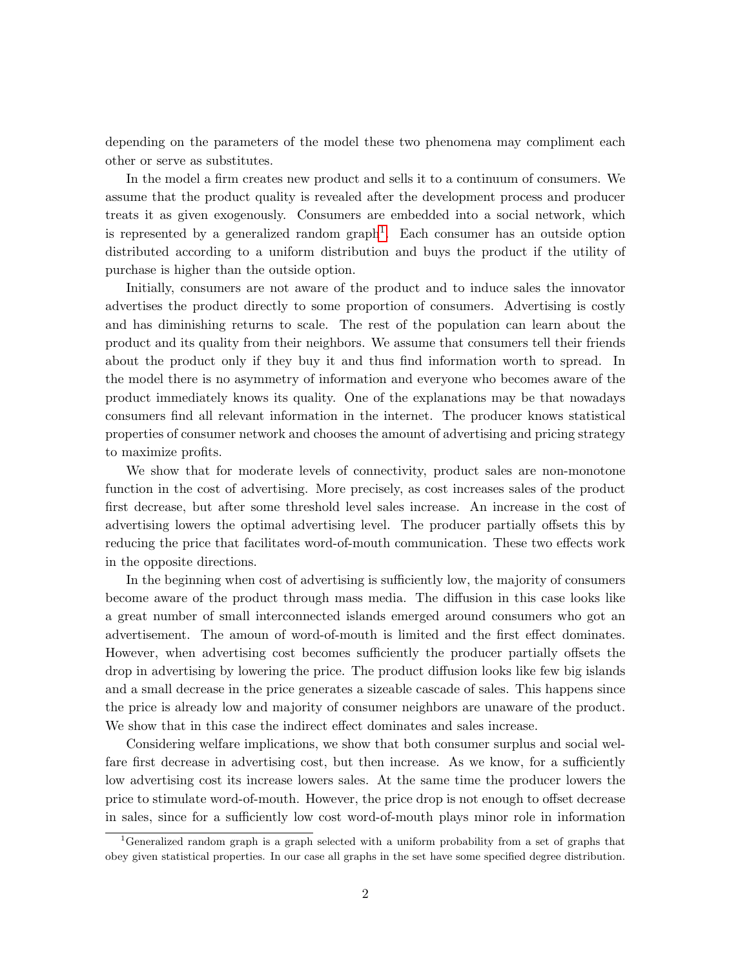depending on the parameters of the model these two phenomena may compliment each other or serve as substitutes.

In the model a firm creates new product and sells it to a continuum of consumers. We assume that the product quality is revealed after the development process and producer treats it as given exogenously. Consumers are embedded into a social network, which is represented by a generalized random  $graph<sup>1</sup>$  $graph<sup>1</sup>$  $graph<sup>1</sup>$ . Each consumer has an outside option distributed according to a uniform distribution and buys the product if the utility of purchase is higher than the outside option.

Initially, consumers are not aware of the product and to induce sales the innovator advertises the product directly to some proportion of consumers. Advertising is costly and has diminishing returns to scale. The rest of the population can learn about the product and its quality from their neighbors. We assume that consumers tell their friends about the product only if they buy it and thus find information worth to spread. In the model there is no asymmetry of information and everyone who becomes aware of the product immediately knows its quality. One of the explanations may be that nowadays consumers find all relevant information in the internet. The producer knows statistical properties of consumer network and chooses the amount of advertising and pricing strategy to maximize profits.

We show that for moderate levels of connectivity, product sales are non-monotone function in the cost of advertising. More precisely, as cost increases sales of the product first decrease, but after some threshold level sales increase. An increase in the cost of advertising lowers the optimal advertising level. The producer partially offsets this by reducing the price that facilitates word-of-mouth communication. These two effects work in the opposite directions.

In the beginning when cost of advertising is sufficiently low, the majority of consumers become aware of the product through mass media. The diffusion in this case looks like a great number of small interconnected islands emerged around consumers who got an advertisement. The amoun of word-of-mouth is limited and the first effect dominates. However, when advertising cost becomes sufficiently the producer partially offsets the drop in advertising by lowering the price. The product diffusion looks like few big islands and a small decrease in the price generates a sizeable cascade of sales. This happens since the price is already low and majority of consumer neighbors are unaware of the product. We show that in this case the indirect effect dominates and sales increase.

Considering welfare implications, we show that both consumer surplus and social welfare first decrease in advertising cost, but then increase. As we know, for a sufficiently low advertising cost its increase lowers sales. At the same time the producer lowers the price to stimulate word-of-mouth. However, the price drop is not enough to offset decrease in sales, since for a sufficiently low cost word-of-mouth plays minor role in information

<span id="page-1-0"></span><sup>&</sup>lt;sup>1</sup>Generalized random graph is a graph selected with a uniform probability from a set of graphs that obey given statistical properties. In our case all graphs in the set have some specified degree distribution.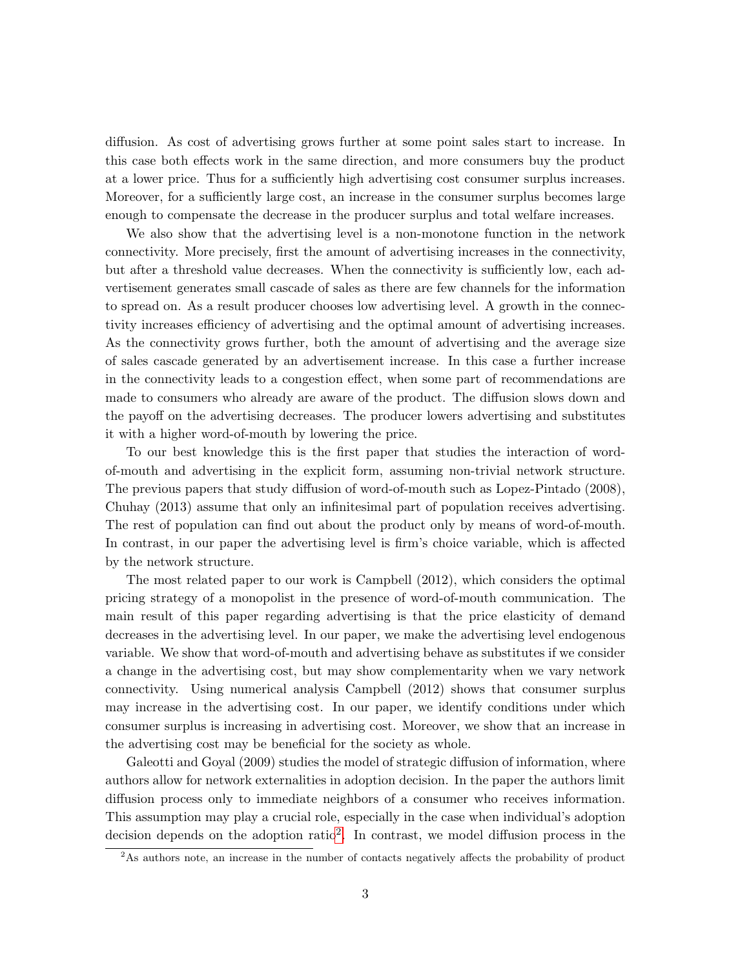diffusion. As cost of advertising grows further at some point sales start to increase. In this case both effects work in the same direction, and more consumers buy the product at a lower price. Thus for a sufficiently high advertising cost consumer surplus increases. Moreover, for a sufficiently large cost, an increase in the consumer surplus becomes large enough to compensate the decrease in the producer surplus and total welfare increases.

We also show that the advertising level is a non-monotone function in the network connectivity. More precisely, first the amount of advertising increases in the connectivity, but after a threshold value decreases. When the connectivity is sufficiently low, each advertisement generates small cascade of sales as there are few channels for the information to spread on. As a result producer chooses low advertising level. A growth in the connectivity increases efficiency of advertising and the optimal amount of advertising increases. As the connectivity grows further, both the amount of advertising and the average size of sales cascade generated by an advertisement increase. In this case a further increase in the connectivity leads to a congestion effect, when some part of recommendations are made to consumers who already are aware of the product. The diffusion slows down and the payoff on the advertising decreases. The producer lowers advertising and substitutes it with a higher word-of-mouth by lowering the price.

To our best knowledge this is the first paper that studies the interaction of wordof-mouth and advertising in the explicit form, assuming non-trivial network structure. The previous papers that study diffusion of word-of-mouth such as Lopez-Pintado (2008), Chuhay (2013) assume that only an infinitesimal part of population receives advertising. The rest of population can find out about the product only by means of word-of-mouth. In contrast, in our paper the advertising level is firm's choice variable, which is affected by the network structure.

The most related paper to our work is Campbell (2012), which considers the optimal pricing strategy of a monopolist in the presence of word-of-mouth communication. The main result of this paper regarding advertising is that the price elasticity of demand decreases in the advertising level. In our paper, we make the advertising level endogenous variable. We show that word-of-mouth and advertising behave as substitutes if we consider a change in the advertising cost, but may show complementarity when we vary network connectivity. Using numerical analysis Campbell (2012) shows that consumer surplus may increase in the advertising cost. In our paper, we identify conditions under which consumer surplus is increasing in advertising cost. Moreover, we show that an increase in the advertising cost may be beneficial for the society as whole.

Galeotti and Goyal (2009) studies the model of strategic diffusion of information, where authors allow for network externalities in adoption decision. In the paper the authors limit diffusion process only to immediate neighbors of a consumer who receives information. This assumption may play a crucial role, especially in the case when individual's adoption decision depends on the adoption ratio<sup>[2](#page-2-0)</sup>. In contrast, we model diffusion process in the

<span id="page-2-0"></span><sup>&</sup>lt;sup>2</sup>As authors note, an increase in the number of contacts negatively affects the probability of product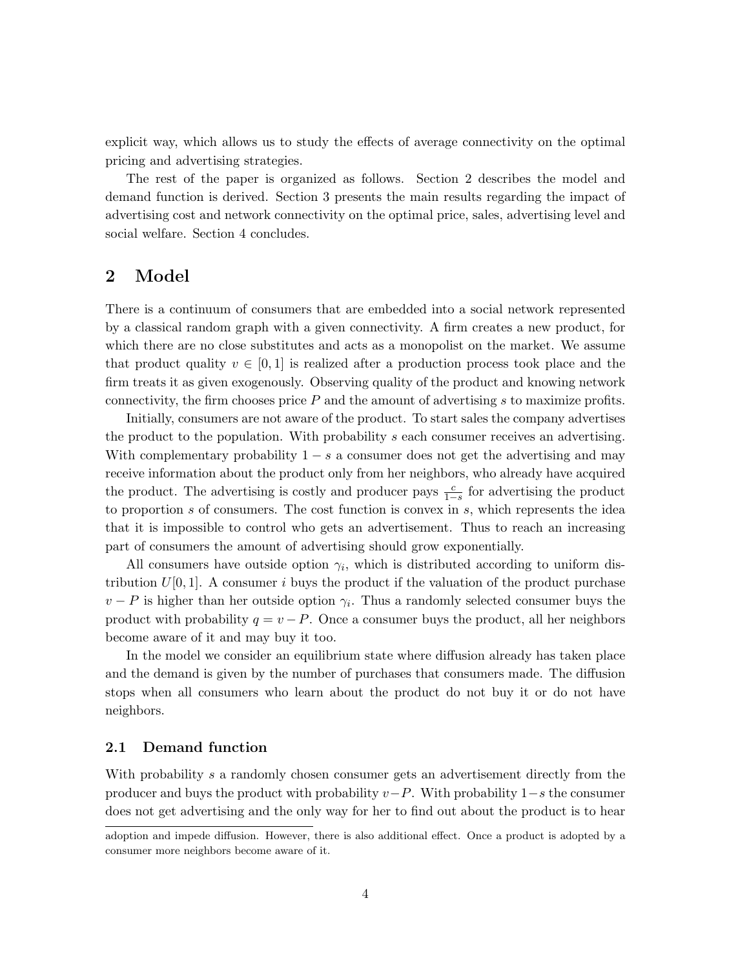explicit way, which allows us to study the effects of average connectivity on the optimal pricing and advertising strategies.

The rest of the paper is organized as follows. Section 2 describes the model and demand function is derived. Section 3 presents the main results regarding the impact of advertising cost and network connectivity on the optimal price, sales, advertising level and social welfare. Section 4 concludes.

# 2 Model

There is a continuum of consumers that are embedded into a social network represented by a classical random graph with a given connectivity. A firm creates a new product, for which there are no close substitutes and acts as a monopolist on the market. We assume that product quality  $v \in [0, 1]$  is realized after a production process took place and the firm treats it as given exogenously. Observing quality of the product and knowing network connectivity, the firm chooses price  $P$  and the amount of advertising  $s$  to maximize profits.

Initially, consumers are not aware of the product. To start sales the company advertises the product to the population. With probability s each consumer receives an advertising. With complementary probability  $1 - s$  a consumer does not get the advertising and may receive information about the product only from her neighbors, who already have acquired the product. The advertising is costly and producer pays  $\frac{c}{1-s}$  for advertising the product to proportion s of consumers. The cost function is convex in s, which represents the idea that it is impossible to control who gets an advertisement. Thus to reach an increasing part of consumers the amount of advertising should grow exponentially.

All consumers have outside option  $\gamma_i$ , which is distributed according to uniform distribution  $U[0, 1]$ . A consumer i buys the product if the valuation of the product purchase  $v - P$  is higher than her outside option  $\gamma_i$ . Thus a randomly selected consumer buys the product with probability  $q = v - P$ . Once a consumer buys the product, all her neighbors become aware of it and may buy it too.

In the model we consider an equilibrium state where diffusion already has taken place and the demand is given by the number of purchases that consumers made. The diffusion stops when all consumers who learn about the product do not buy it or do not have neighbors.

### 2.1 Demand function

With probability s a randomly chosen consumer gets an advertisement directly from the producer and buys the product with probability  $v-P$ . With probability  $1-s$  the consumer does not get advertising and the only way for her to find out about the product is to hear

adoption and impede diffusion. However, there is also additional effect. Once a product is adopted by a consumer more neighbors become aware of it.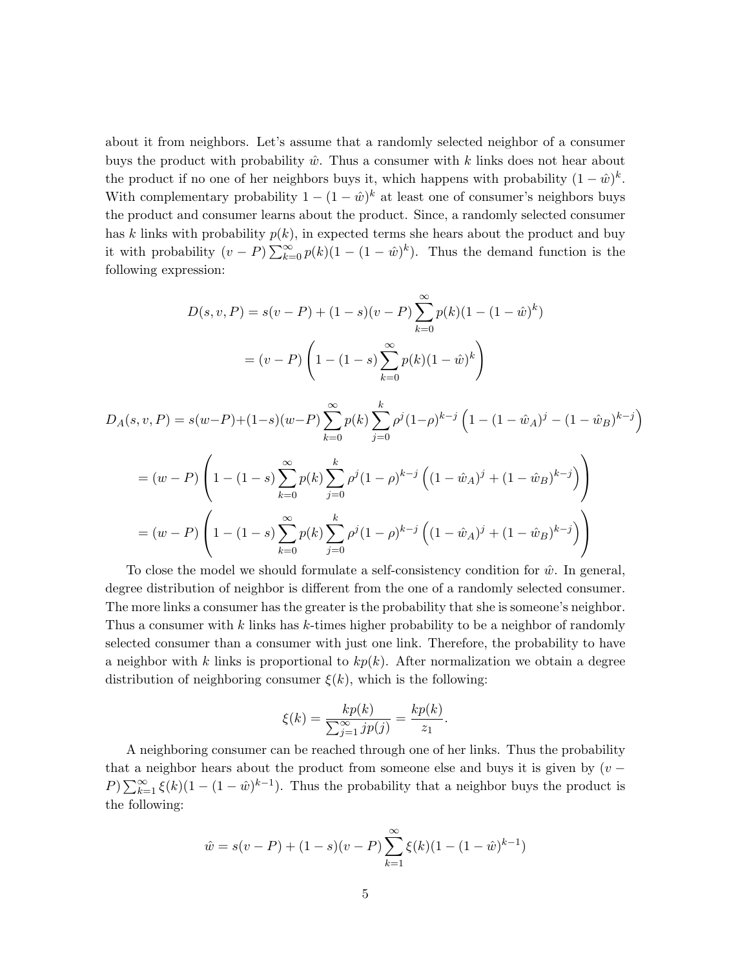about it from neighbors. Let's assume that a randomly selected neighbor of a consumer buys the product with probability  $\hat{w}$ . Thus a consumer with k links does not hear about the product if no one of her neighbors buys it, which happens with probability  $(1 - \hat{w})^k$ . With complementary probability  $1 - (1 - \hat{w})^k$  at least one of consumer's neighbors buys the product and consumer learns about the product. Since, a randomly selected consumer has k links with probability  $p(k)$ , in expected terms she hears about the product and buy it with probability  $(v - P) \sum_{k=0}^{\infty} p(k)(1 - (1 - \hat{w})^k)$ . Thus the demand function is the following expression:

$$
D(s, v, P) = s(v - P) + (1 - s)(v - P) \sum_{k=0}^{\infty} p(k)(1 - (1 - \hat{w})^k)
$$

$$
= (v - P) \left(1 - (1 - s) \sum_{k=0}^{\infty} p(k)(1 - \hat{w})^k\right)
$$

$$
D_A(s, v, P) = s(w - P) + (1 - s)(w - P) \sum_{k=0}^{\infty} p(k) \sum_{j=0}^{k} \rho^j (1 - \rho)^{k-j} \left( 1 - (1 - \hat{w}_A)^j - (1 - \hat{w}_B)^{k-j} \right)
$$
  
=  $(w - P) \left( 1 - (1 - s) \sum_{k=0}^{\infty} p(k) \sum_{j=0}^{k} \rho^j (1 - \rho)^{k-j} \left( (1 - \hat{w}_A)^j + (1 - \hat{w}_B)^{k-j} \right) \right)$   
=  $(w - P) \left( 1 - (1 - s) \sum_{k=0}^{\infty} p(k) \sum_{j=0}^{k} \rho^j (1 - \rho)^{k-j} \left( (1 - \hat{w}_A)^j + (1 - \hat{w}_B)^{k-j} \right) \right)$ 

To close the model we should formulate a self-consistency condition for  $\hat{w}$ . In general, degree distribution of neighbor is different from the one of a randomly selected consumer. The more links a consumer has the greater is the probability that she is someone's neighbor. Thus a consumer with  $k$  links has  $k$ -times higher probability to be a neighbor of randomly selected consumer than a consumer with just one link. Therefore, the probability to have a neighbor with k links is proportional to  $kp(k)$ . After normalization we obtain a degree distribution of neighboring consumer  $\xi(k)$ , which is the following:

$$
\xi(k) = \frac{kp(k)}{\sum_{j=1}^{\infty} jp(j)} = \frac{kp(k)}{z_1}.
$$

A neighboring consumer can be reached through one of her links. Thus the probability that a neighbor hears about the product from someone else and buys it is given by  $(v -$ P)  $\sum_{k=1}^{\infty} \xi(k)(1-(1-\hat{w})^{k-1})$ . Thus the probability that a neighbor buys the product is the following:

$$
\hat{w} = s(v - P) + (1 - s)(v - P) \sum_{k=1}^{\infty} \xi(k)(1 - (1 - \hat{w})^{k-1})
$$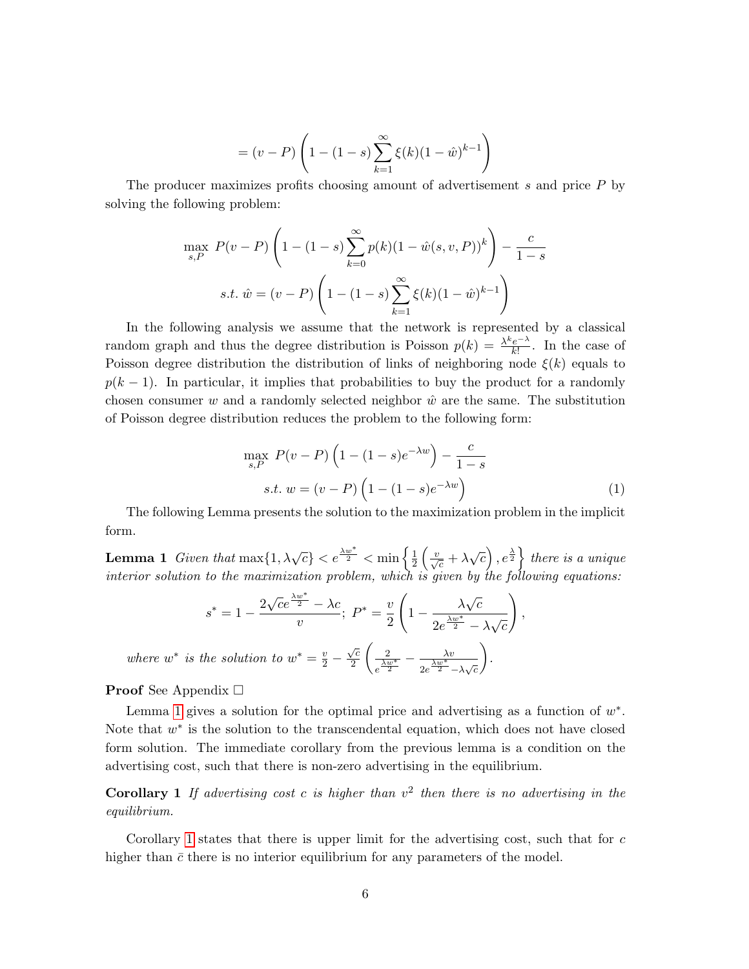$$
= (v - P) \left( 1 - (1 - s) \sum_{k=1}^{\infty} \xi(k) (1 - \hat{w})^{k-1} \right)
$$

The producer maximizes profits choosing amount of advertisement s and price P by solving the following problem:

$$
\max_{s,P} P(v-P) \left( 1 - (1-s) \sum_{k=0}^{\infty} p(k)(1 - \hat{w}(s, v, P))^k \right) - \frac{c}{1-s}
$$
  
s.t.  $\hat{w} = (v - P) \left( 1 - (1-s) \sum_{k=1}^{\infty} \xi(k)(1 - \hat{w})^{k-1} \right)$ 

In the following analysis we assume that the network is represented by a classical random graph and thus the degree distribution is Poisson  $p(k) = \frac{\lambda^k e^{-\lambda}}{k!}$  $\frac{e^{-\lambda}}{k!}$ . In the case of Poisson degree distribution the distribution of links of neighboring node  $\xi(k)$  equals to  $p(k-1)$ . In particular, it implies that probabilities to buy the product for a randomly chosen consumer w and a randomly selected neighbor  $\hat{w}$  are the same. The substitution of Poisson degree distribution reduces the problem to the following form:

<span id="page-5-2"></span>
$$
\max_{s,P} P(v-P) \left(1 - (1-s)e^{-\lambda w}\right) - \frac{c}{1-s}
$$
  
s.t.  $w = (v-P) \left(1 - (1-s)e^{-\lambda w}\right)$  (1)

The following Lemma presents the solution to the maximization problem in the implicit form.

<span id="page-5-0"></span>**Lemma 1** Given that  $\max\{1, \lambda\sqrt{c}\} < e^{\frac{\lambda w^*}{2}} < \min\left\{\frac{1}{2}, \frac{1}{2}, \frac{1}{2}\right\}$  $\frac{1}{2} \left( \frac{v}{\sqrt{c}} + \lambda \sqrt{c} \right), e^{\frac{\lambda}{2}} \}$  there is a unique interior solution to the maximization problem, which is given by the following equations:

$$
s^* = 1 - \frac{2\sqrt{ce^{\frac{\lambda w^*}{2}} - \lambda c}}{v}; \ P^* = \frac{v}{2} \left( 1 - \frac{\lambda \sqrt{c}}{2e^{\frac{\lambda w^*}{2}} - \lambda \sqrt{c}} \right),
$$
  
where  $w^*$  is the solution to  $w^* = \frac{v}{2} - \frac{\sqrt{c}}{2} \left( \frac{2}{e^{\frac{\lambda w^*}{2}}} - \frac{\lambda v}{2e^{\frac{\lambda w^*}{2}} - \lambda \sqrt{c}} \right).$ 

**Proof** See Appendix  $\Box$ 

Lemma [1](#page-5-0) gives a solution for the optimal price and advertising as a function of  $w^*$ . Note that  $w^*$  is the solution to the transcendental equation, which does not have closed form solution. The immediate corollary from the previous lemma is a condition on the advertising cost, such that there is non-zero advertising in the equilibrium.

<span id="page-5-1"></span>**Corollary 1** If advertising cost c is higher than  $v^2$  then there is no advertising in the equilibrium.

Corollary [1](#page-5-1) states that there is upper limit for the advertising cost, such that for  $c$ higher than  $\bar{c}$  there is no interior equilibrium for any parameters of the model.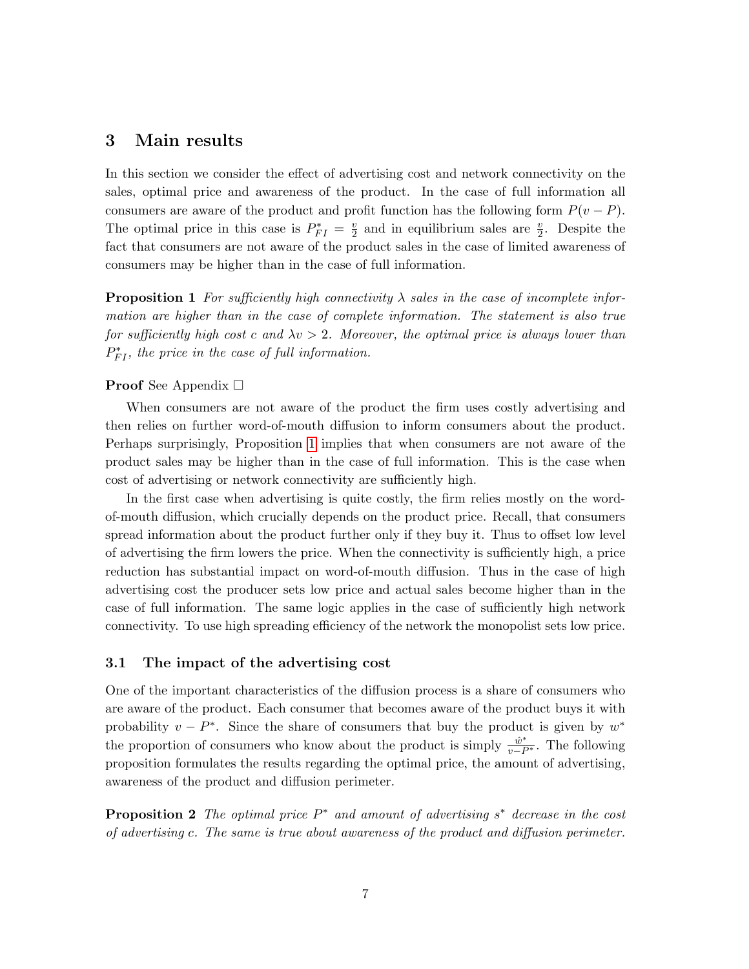# 3 Main results

In this section we consider the effect of advertising cost and network connectivity on the sales, optimal price and awareness of the product. In the case of full information all consumers are aware of the product and profit function has the following form  $P(v - P)$ . The optimal price in this case is  $P_{FI}^* = \frac{v}{2}$  $\frac{v}{2}$  and in equilibrium sales are  $\frac{v}{2}$ . Despite the fact that consumers are not aware of the product sales in the case of limited awareness of consumers may be higher than in the case of full information.

<span id="page-6-0"></span>**Proposition 1** For sufficiently high connectivity  $\lambda$  sales in the case of incomplete information are higher than in the case of complete information. The statement is also true for sufficiently high cost c and  $\lambda v > 2$ . Moreover, the optimal price is always lower than  $P_{FI}^*$ , the price in the case of full information.

#### **Proof** See Appendix  $\Box$

When consumers are not aware of the product the firm uses costly advertising and then relies on further word-of-mouth diffusion to inform consumers about the product. Perhaps surprisingly, Proposition [1](#page-6-0) implies that when consumers are not aware of the product sales may be higher than in the case of full information. This is the case when cost of advertising or network connectivity are sufficiently high.

In the first case when advertising is quite costly, the firm relies mostly on the wordof-mouth diffusion, which crucially depends on the product price. Recall, that consumers spread information about the product further only if they buy it. Thus to offset low level of advertising the firm lowers the price. When the connectivity is sufficiently high, a price reduction has substantial impact on word-of-mouth diffusion. Thus in the case of high advertising cost the producer sets low price and actual sales become higher than in the case of full information. The same logic applies in the case of sufficiently high network connectivity. To use high spreading efficiency of the network the monopolist sets low price.

### 3.1 The impact of the advertising cost

One of the important characteristics of the diffusion process is a share of consumers who are aware of the product. Each consumer that becomes aware of the product buys it with probability  $v - P^*$ . Since the share of consumers that buy the product is given by  $w^*$ the proportion of consumers who know about the product is simply  $\frac{\hat{w}^*}{v - P^*}$ . The following proposition formulates the results regarding the optimal price, the amount of advertising, awareness of the product and diffusion perimeter.

<span id="page-6-1"></span>**Proposition 2** The optimal price  $P^*$  and amount of advertising  $s^*$  decrease in the cost of advertising c. The same is true about awareness of the product and diffusion perimeter.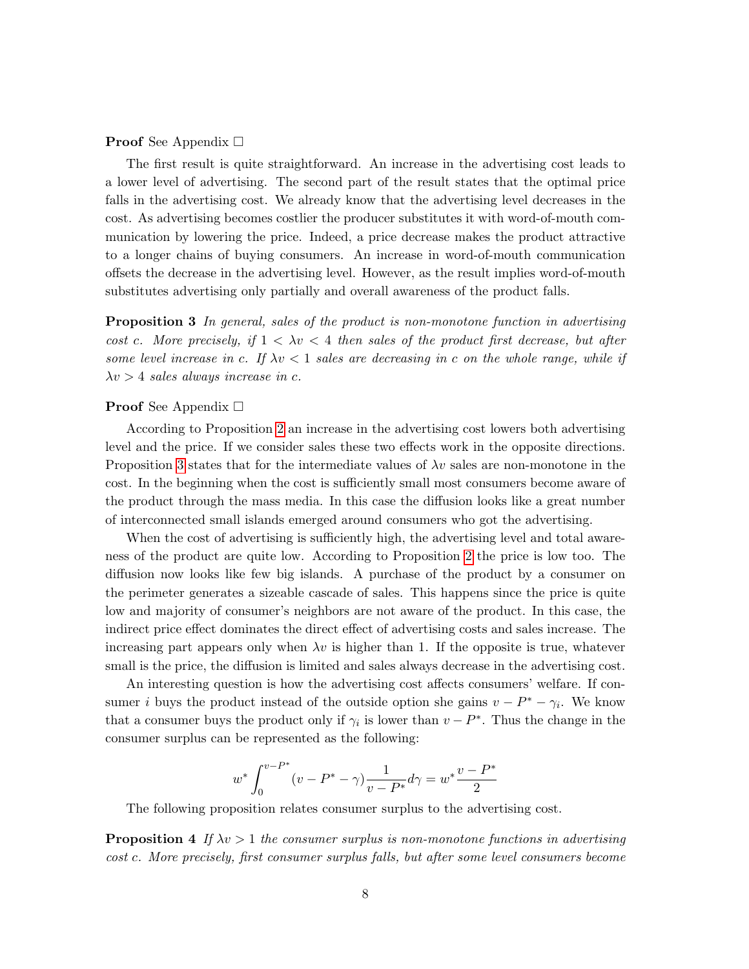**Proof** See Appendix  $\Box$ 

The first result is quite straightforward. An increase in the advertising cost leads to a lower level of advertising. The second part of the result states that the optimal price falls in the advertising cost. We already know that the advertising level decreases in the cost. As advertising becomes costlier the producer substitutes it with word-of-mouth communication by lowering the price. Indeed, a price decrease makes the product attractive to a longer chains of buying consumers. An increase in word-of-mouth communication offsets the decrease in the advertising level. However, as the result implies word-of-mouth substitutes advertising only partially and overall awareness of the product falls.

<span id="page-7-0"></span>**Proposition 3** In general, sales of the product is non-monotone function in advertising cost c. More precisely, if  $1 < \lambda v < 4$  then sales of the product first decrease, but after some level increase in c. If  $\lambda v < 1$  sales are decreasing in c on the whole range, while if  $\lambda v > 4$  sales always increase in c.

#### **Proof** See Appendix  $\Box$

According to Proposition [2](#page-6-1) an increase in the advertising cost lowers both advertising level and the price. If we consider sales these two effects work in the opposite directions. Proposition [3](#page-7-0) states that for the intermediate values of  $\lambda v$  sales are non-monotone in the cost. In the beginning when the cost is sufficiently small most consumers become aware of the product through the mass media. In this case the diffusion looks like a great number of interconnected small islands emerged around consumers who got the advertising.

When the cost of advertising is sufficiently high, the advertising level and total awareness of the product are quite low. According to Proposition [2](#page-6-1) the price is low too. The diffusion now looks like few big islands. A purchase of the product by a consumer on the perimeter generates a sizeable cascade of sales. This happens since the price is quite low and majority of consumer's neighbors are not aware of the product. In this case, the indirect price effect dominates the direct effect of advertising costs and sales increase. The increasing part appears only when  $\lambda v$  is higher than 1. If the opposite is true, whatever small is the price, the diffusion is limited and sales always decrease in the advertising cost.

An interesting question is how the advertising cost affects consumers' welfare. If consumer i buys the product instead of the outside option she gains  $v - P^* - \gamma_i$ . We know that a consumer buys the product only if  $\gamma_i$  is lower than  $v - P^*$ . Thus the change in the consumer surplus can be represented as the following:

$$
w^* \int_0^{v-P^*} (v - P^* - \gamma) \frac{1}{v - P^*} d\gamma = w^* \frac{v - P^*}{2}
$$

The following proposition relates consumer surplus to the advertising cost.

<span id="page-7-1"></span>**Proposition 4** If  $\lambda v > 1$  the consumer surplus is non-monotone functions in advertising cost c. More precisely, first consumer surplus falls, but after some level consumers become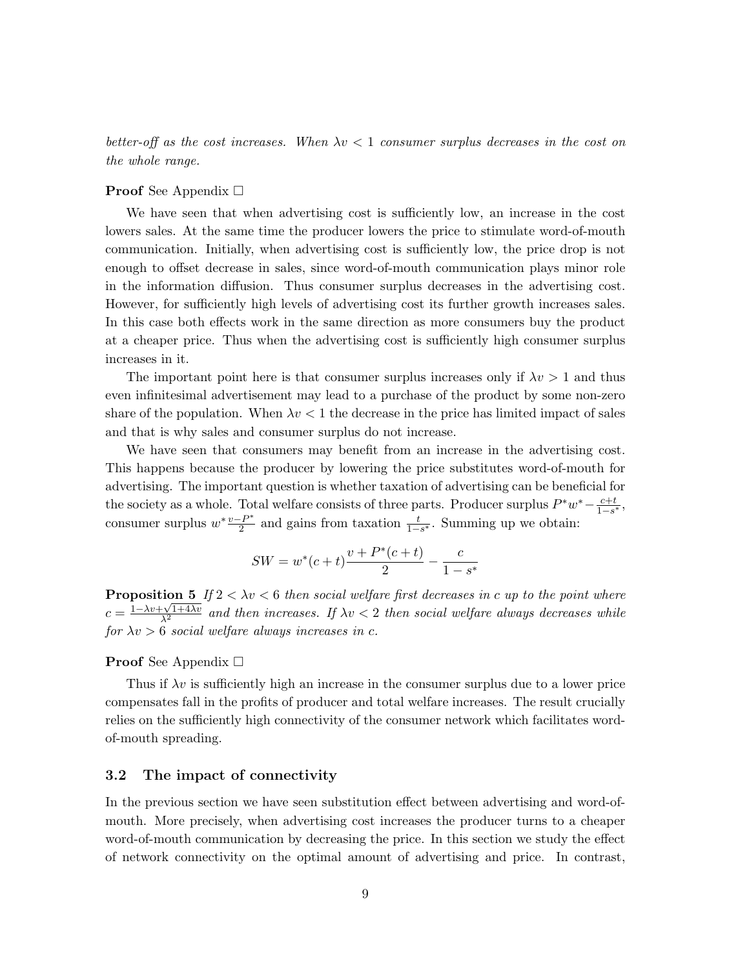better-off as the cost increases. When  $\lambda v < 1$  consumer surplus decreases in the cost on the whole range.

#### **Proof** See Appendix  $\Box$

We have seen that when advertising cost is sufficiently low, an increase in the cost lowers sales. At the same time the producer lowers the price to stimulate word-of-mouth communication. Initially, when advertising cost is sufficiently low, the price drop is not enough to offset decrease in sales, since word-of-mouth communication plays minor role in the information diffusion. Thus consumer surplus decreases in the advertising cost. However, for sufficiently high levels of advertising cost its further growth increases sales. In this case both effects work in the same direction as more consumers buy the product at a cheaper price. Thus when the advertising cost is sufficiently high consumer surplus increases in it.

The important point here is that consumer surplus increases only if  $\lambda v > 1$  and thus even infinitesimal advertisement may lead to a purchase of the product by some non-zero share of the population. When  $\lambda v < 1$  the decrease in the price has limited impact of sales and that is why sales and consumer surplus do not increase.

We have seen that consumers may benefit from an increase in the advertising cost. This happens because the producer by lowering the price substitutes word-of-mouth for advertising. The important question is whether taxation of advertising can be beneficial for the society as a whole. Total welfare consists of three parts. Producer surplus  $P^*w^* - \frac{c+t}{1-s^*}$ , consumer surplus  $w^* \frac{v - P^*}{2}$  $\frac{P}{2}^{P^*}$  and gains from taxation  $\frac{t}{1-s^*}$ . Summing up we obtain:

$$
SW = w^*(c+t)\frac{v + P^*(c+t)}{2} - \frac{c}{1 - s^*}
$$

<span id="page-8-0"></span>**Proposition 5** If  $2 < \lambda v < 6$  then social welfare first decreases in c up to the point where  $c = \frac{1 - \lambda v + \sqrt{1 + 4\lambda v}}{\lambda^2}$  and then increases. If  $\lambda v < 2$  then social welfare always decreases while for  $\lambda v > 6$  social welfare always increases in c.

#### **Proof** See Appendix  $\Box$

Thus if  $\lambda v$  is sufficiently high an increase in the consumer surplus due to a lower price compensates fall in the profits of producer and total welfare increases. The result crucially relies on the sufficiently high connectivity of the consumer network which facilitates wordof-mouth spreading.

### 3.2 The impact of connectivity

In the previous section we have seen substitution effect between advertising and word-ofmouth. More precisely, when advertising cost increases the producer turns to a cheaper word-of-mouth communication by decreasing the price. In this section we study the effect of network connectivity on the optimal amount of advertising and price. In contrast,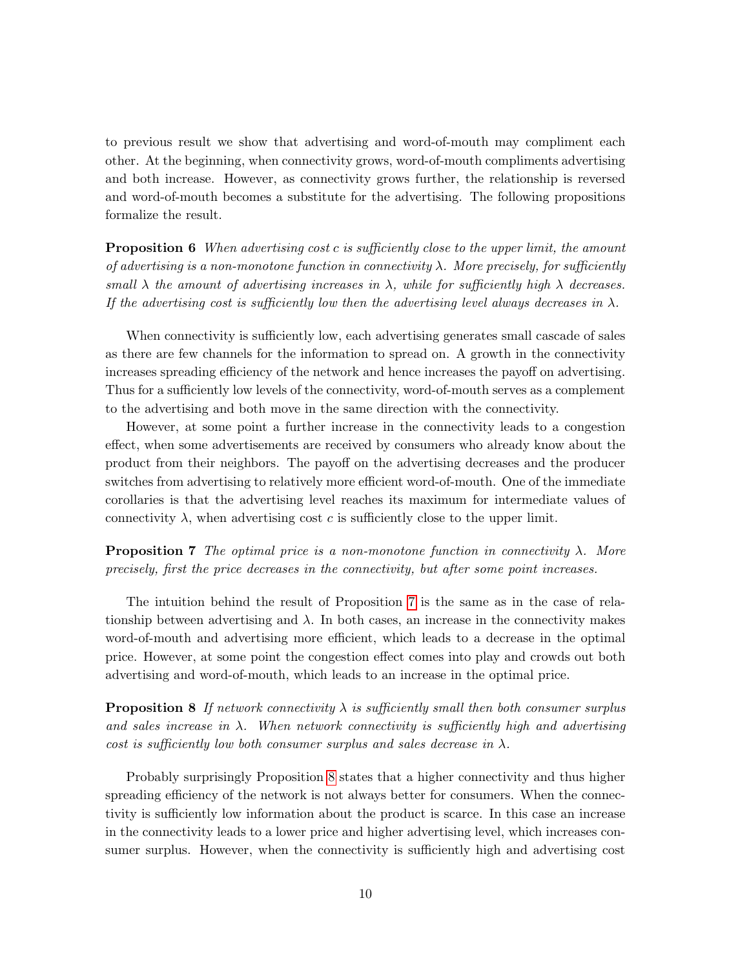to previous result we show that advertising and word-of-mouth may compliment each other. At the beginning, when connectivity grows, word-of-mouth compliments advertising and both increase. However, as connectivity grows further, the relationship is reversed and word-of-mouth becomes a substitute for the advertising. The following propositions formalize the result.

<span id="page-9-2"></span>**Proposition 6** When advertising cost c is sufficiently close to the upper limit, the amount of advertising is a non-monotone function in connectivity  $\lambda$ . More precisely, for sufficiently small  $\lambda$  the amount of advertising increases in  $\lambda$ , while for sufficiently high  $\lambda$  decreases. If the advertising cost is sufficiently low then the advertising level always decreases in  $\lambda$ .

When connectivity is sufficiently low, each advertising generates small cascade of sales as there are few channels for the information to spread on. A growth in the connectivity increases spreading efficiency of the network and hence increases the payoff on advertising. Thus for a sufficiently low levels of the connectivity, word-of-mouth serves as a complement to the advertising and both move in the same direction with the connectivity.

However, at some point a further increase in the connectivity leads to a congestion effect, when some advertisements are received by consumers who already know about the product from their neighbors. The payoff on the advertising decreases and the producer switches from advertising to relatively more efficient word-of-mouth. One of the immediate corollaries is that the advertising level reaches its maximum for intermediate values of connectivity  $\lambda$ , when advertising cost c is sufficiently close to the upper limit.

<span id="page-9-0"></span>**Proposition 7** The optimal price is a non-monotone function in connectivity  $\lambda$ . More precisely, first the price decreases in the connectivity, but after some point increases.

The intuition behind the result of Proposition [7](#page-9-0) is the same as in the case of relationship between advertising and  $\lambda$ . In both cases, an increase in the connectivity makes word-of-mouth and advertising more efficient, which leads to a decrease in the optimal price. However, at some point the congestion effect comes into play and crowds out both advertising and word-of-mouth, which leads to an increase in the optimal price.

<span id="page-9-1"></span>**Proposition 8** If network connectivity  $\lambda$  is sufficiently small then both consumer surplus and sales increase in  $\lambda$ . When network connectivity is sufficiently high and advertising cost is sufficiently low both consumer surplus and sales decrease in  $\lambda$ .

Probably surprisingly Proposition [8](#page-9-1) states that a higher connectivity and thus higher spreading efficiency of the network is not always better for consumers. When the connectivity is sufficiently low information about the product is scarce. In this case an increase in the connectivity leads to a lower price and higher advertising level, which increases consumer surplus. However, when the connectivity is sufficiently high and advertising cost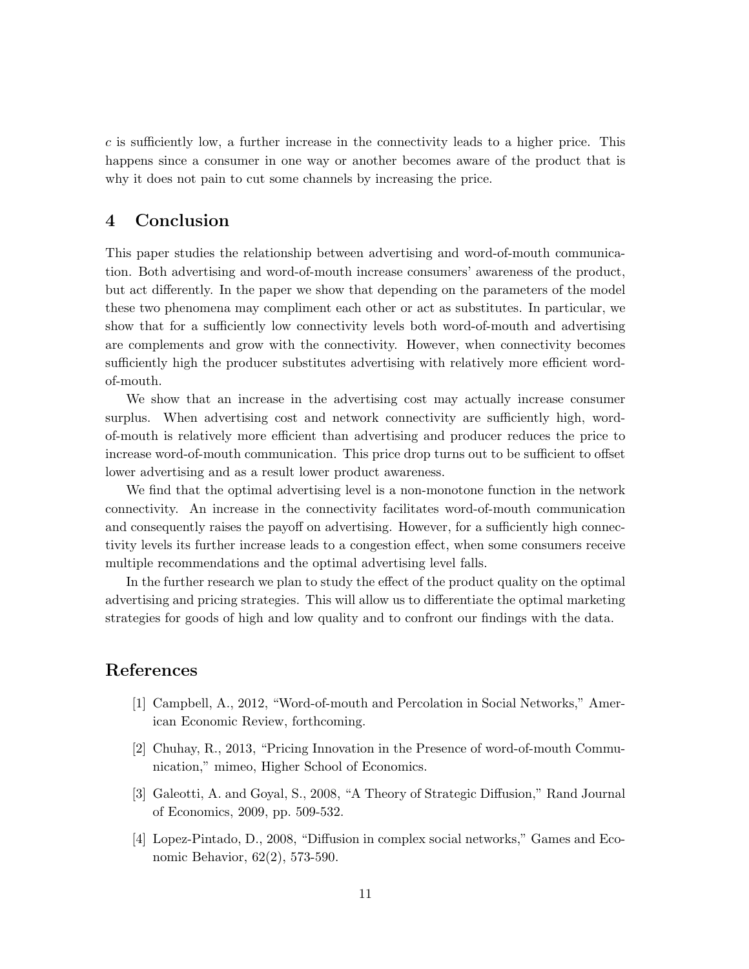$c$  is sufficiently low, a further increase in the connectivity leads to a higher price. This happens since a consumer in one way or another becomes aware of the product that is why it does not pain to cut some channels by increasing the price.

# 4 Conclusion

This paper studies the relationship between advertising and word-of-mouth communication. Both advertising and word-of-mouth increase consumers' awareness of the product, but act differently. In the paper we show that depending on the parameters of the model these two phenomena may compliment each other or act as substitutes. In particular, we show that for a sufficiently low connectivity levels both word-of-mouth and advertising are complements and grow with the connectivity. However, when connectivity becomes sufficiently high the producer substitutes advertising with relatively more efficient wordof-mouth.

We show that an increase in the advertising cost may actually increase consumer surplus. When advertising cost and network connectivity are sufficiently high, wordof-mouth is relatively more efficient than advertising and producer reduces the price to increase word-of-mouth communication. This price drop turns out to be sufficient to offset lower advertising and as a result lower product awareness.

We find that the optimal advertising level is a non-monotone function in the network connectivity. An increase in the connectivity facilitates word-of-mouth communication and consequently raises the payoff on advertising. However, for a sufficiently high connectivity levels its further increase leads to a congestion effect, when some consumers receive multiple recommendations and the optimal advertising level falls.

In the further research we plan to study the effect of the product quality on the optimal advertising and pricing strategies. This will allow us to differentiate the optimal marketing strategies for goods of high and low quality and to confront our findings with the data.

# References

- [1] Campbell, A., 2012, "Word-of-mouth and Percolation in Social Networks," American Economic Review, forthcoming.
- [2] Chuhay, R., 2013, "Pricing Innovation in the Presence of word-of-mouth Communication," mimeo, Higher School of Economics.
- [3] Galeotti, A. and Goyal, S., 2008, "A Theory of Strategic Diffusion," Rand Journal of Economics, 2009, pp. 509-532.
- [4] Lopez-Pintado, D., 2008, "Diffusion in complex social networks," Games and Economic Behavior, 62(2), 573-590.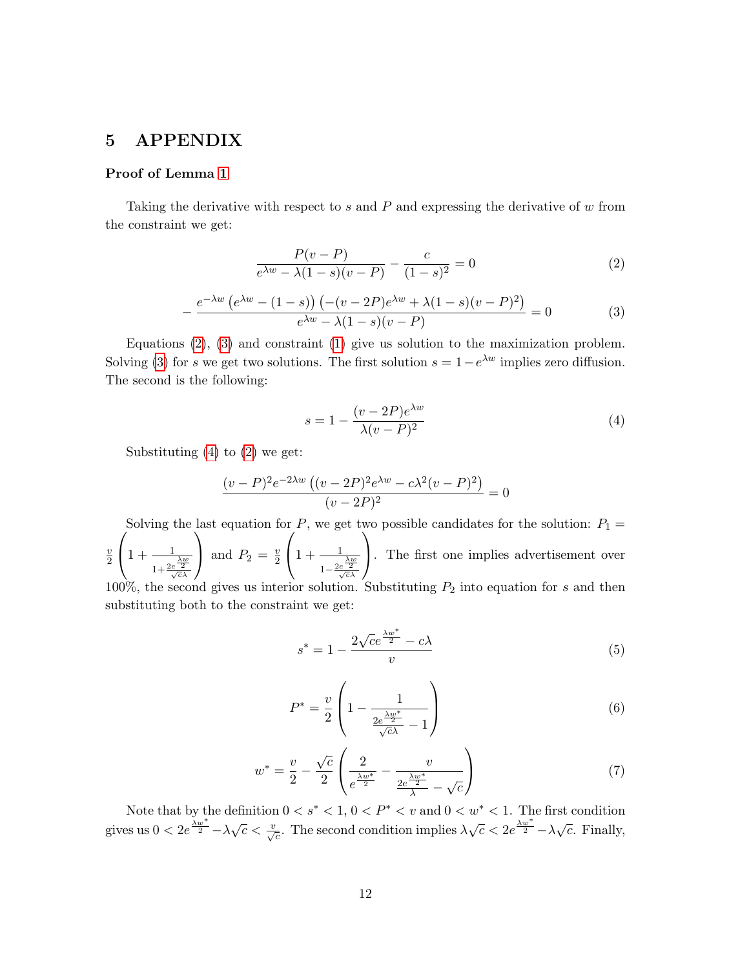# 5 APPENDIX

### Proof of Lemma [1](#page-5-0)

Taking the derivative with respect to s and P and expressing the derivative of w from the constraint we get:

<span id="page-11-0"></span>
$$
\frac{P(v - P)}{e^{\lambda w} - \lambda (1 - s)(v - P)} - \frac{c}{(1 - s)^2} = 0
$$
\n(2)

<span id="page-11-1"></span>
$$
-\frac{e^{-\lambda w} (e^{\lambda w} - (1-s)) (-(v-2P)e^{\lambda w} + \lambda (1-s)(v-P)^2)}{e^{\lambda w} - \lambda (1-s)(v-P)} = 0
$$
 (3)

Equations [\(2\)](#page-11-0), [\(3\)](#page-11-1) and constraint [\(1\)](#page-5-2) give us solution to the maximization problem. Solving [\(3\)](#page-11-1) for s we get two solutions. The first solution  $s = 1 - e^{\lambda w}$  implies zero diffusion. The second is the following:

<span id="page-11-2"></span>
$$
s = 1 - \frac{(v - 2P)e^{\lambda w}}{\lambda(v - P)^2}
$$
\n
$$
\tag{4}
$$

Substituting  $(4)$  to  $(2)$  we get:

$$
\frac{(v-P)^2e^{-2\lambda w} ((v-2P)^2e^{\lambda w} - c\lambda^2(v-P)^2)}{(v-2P)^2} = 0
$$

Solving the last equation for P, we get two possible candidates for the solution:  $P_1 =$  $\overline{v}$ 2  $\sqrt{ }$  $\left(1+\frac{1}{1+\frac{2e^{\frac{\lambda w}{2}}}{\sqrt{c}\lambda}}\right)$  $\setminus$ and  $P_2 = \frac{v}{2}$ 2  $\sqrt{ }$  $\left(1+\frac{1}{1-\frac{2e^{\frac{\lambda w}{2}}}{\sqrt{c}\lambda}}\right)$  $\setminus$ . The first one implies advertisement over 100%, the second gives us interior solution. Substituting  $P_2$  into equation for s and then substituting both to the constraint we get:

<span id="page-11-4"></span>
$$
s^* = 1 - \frac{2\sqrt{ce^{\frac{\lambda w^*}{2}} - c\lambda}}{v}
$$
 (5)

<span id="page-11-5"></span>
$$
P^* = \frac{v}{2} \left( 1 - \frac{1}{\frac{2e^{\frac{\lambda w^*}{2}}}{\sqrt{c\lambda}} - 1} \right)
$$
 (6)

<span id="page-11-3"></span>
$$
w^* = \frac{v}{2} - \frac{\sqrt{c}}{2} \left( \frac{2}{e^{\frac{\lambda w^*}{2}}} - \frac{v}{\frac{2e^{\frac{\lambda w^*}{2}}}{\lambda} - \sqrt{c}} \right) \tag{7}
$$

Note that by the definition  $0 < s^* < 1, 0 < P^* < v$  and  $0 < w^* < 1$ . The first condition gives us  $0 < 2e^{\frac{\lambda w^*}{2}} - \lambda \sqrt{c} < \frac{v}{\sqrt{c}}$ . The second condition implies  $\lambda \sqrt{c} < 2e^{\frac{\lambda w^*}{2}} - \lambda \sqrt{c}$ . Finally,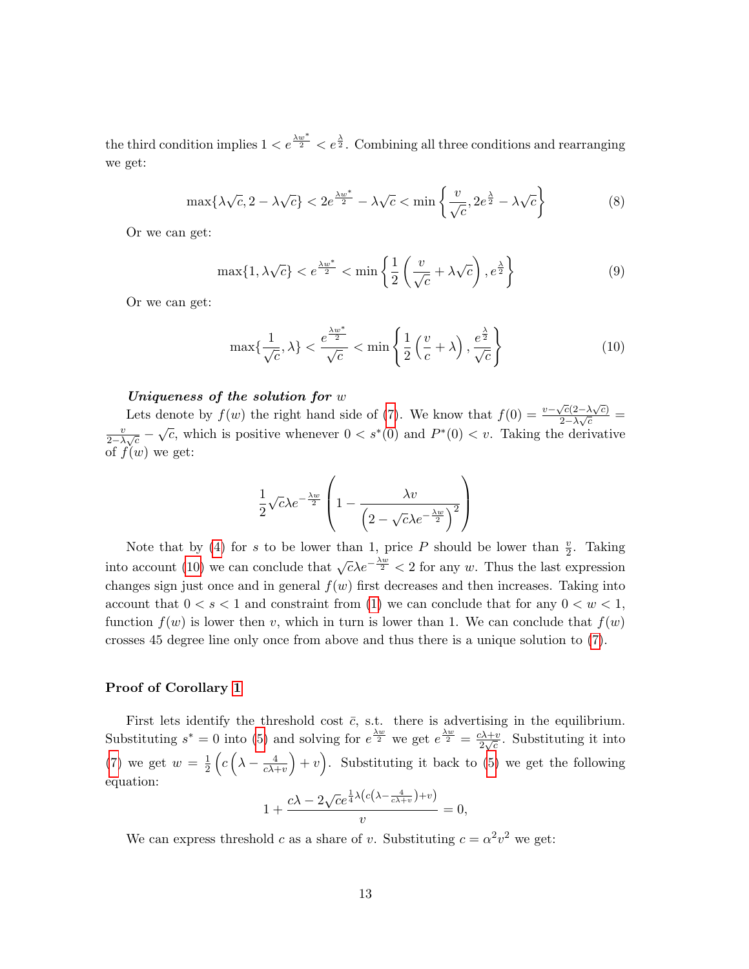the third condition implies  $1 < e^{\frac{\lambda w^*}{2}} < e^{\frac{\lambda}{2}}$ . Combining all three conditions and rearranging we get:

$$
\max\{\lambda\sqrt{c}, 2 - \lambda\sqrt{c}\} < 2e^{\frac{\lambda w^*}{2}} - \lambda\sqrt{c} < \min\left\{\frac{v}{\sqrt{c}}, 2e^{\frac{\lambda}{2}} - \lambda\sqrt{c}\right\} \tag{8}
$$

Or we can get:

$$
\max\{1, \lambda\sqrt{c}\} < e^{\frac{\lambda w^*}{2}} < \min\left\{\frac{1}{2}\left(\frac{v}{\sqrt{c}} + \lambda\sqrt{c}\right), e^{\frac{\lambda}{2}}\right\} \tag{9}
$$

Or we can get:

<span id="page-12-0"></span>
$$
\max\{\frac{1}{\sqrt{c}}, \lambda\} < \frac{e^{\frac{\lambda w^*}{2}}}{\sqrt{c}} < \min\left\{\frac{1}{2}\left(\frac{v}{c} + \lambda\right), \frac{e^{\frac{\lambda}{2}}}{\sqrt{c}}\right\} \tag{10}
$$

### Uniqueness of the solution for w

Lets denote by  $f(w)$  the right hand side of [\(7\)](#page-11-3). We know that  $f(0) = \frac{v - \sqrt{c}(2-\lambda\sqrt{c})}{2-\lambda\sqrt{c}}$  $\frac{\gamma c(2-\lambda\sqrt{c})}{2-\lambda\sqrt{c}}$  =  $\overline{v}$  $\frac{v}{2-\lambda\sqrt{c}} - \sqrt{c}$ , which is positive whenever  $0 < s^*(0)$  and  $P^*(0) < v$ . Taking the derivative of  $f(w)$  we get:

$$
\frac{1}{2}\sqrt{c\lambda e^{-\frac{\lambda w}{2}}}\left(1-\frac{\lambda v}{\left(2-\sqrt{c\lambda e^{-\frac{\lambda w}{2}}}\right)^2}\right)
$$

Note that by [\(4\)](#page-11-2) for s to be lower than 1, price P should be lower than  $\frac{v}{2}$ . Taking into account [\(10\)](#page-12-0) we can conclude that  $\sqrt{c\lambda}e^{-\frac{\lambda w}{2}} < 2$  for any w. Thus the last expression changes sign just once and in general  $f(w)$  first decreases and then increases. Taking into account that  $0 < s < 1$  and constraint from [\(1\)](#page-5-2) we can conclude that for any  $0 < w < 1$ , function  $f(w)$  is lower then v, which in turn is lower than 1. We can conclude that  $f(w)$ crosses 45 degree line only once from above and thus there is a unique solution to [\(7\)](#page-11-3).

#### Proof of Corollary [1](#page-5-1)

First lets identify the threshold cost  $\bar{c}$ , s.t. there is advertising in the equilibrium. Substituting  $s^* = 0$  into [\(5\)](#page-11-4) and solving for  $e^{\frac{\lambda w}{2}}$  we get  $e^{\frac{\lambda w}{2}} = \frac{c\lambda + v}{2\sqrt{a}}$  $\frac{2\lambda+v}{2\sqrt{c}}$ . Substituting it into [\(7\)](#page-11-3) we get  $w = \frac{1}{2}$  $\frac{1}{2}\left(c\left(\lambda - \frac{4}{c\lambda +}\right.\right.$  $\left(\frac{4}{c\lambda+v}\right)+v$ . Substituting it back to [\(5\)](#page-11-4) we get the following equation: √ 1

$$
1 + \frac{c\lambda - 2\sqrt{c}e^{\frac{1}{4}\lambda(c\left(\lambda - \frac{4}{c\lambda + v}\right) + v)}}{v} = 0,
$$

We can express threshold c as a share of v. Substituting  $c = \alpha^2 v^2$  we get: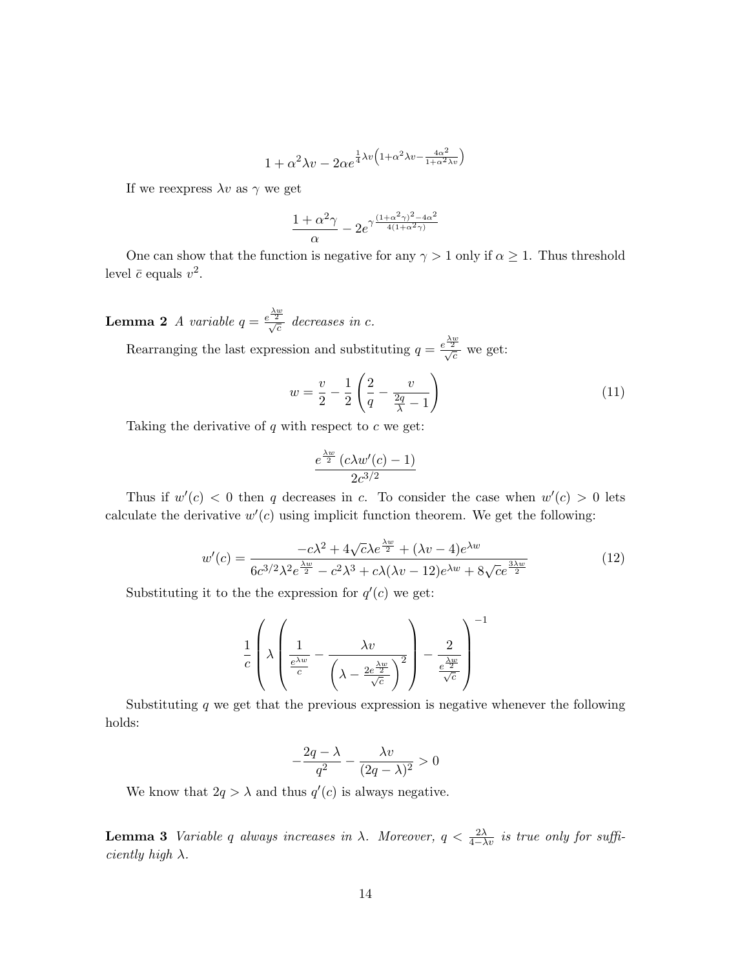$$
1 + \alpha^2 \lambda v - 2\alpha e^{\frac{1}{4}\lambda v \left(1 + \alpha^2 \lambda v - \frac{4\alpha^2}{1 + \alpha^2 \lambda v}\right)}
$$

If we reexpress  $\lambda v$  as  $\gamma$  we get

$$
\frac{1+\alpha^2\gamma}{\alpha}-2e^{\gamma\frac{(1+\alpha^2\gamma)^2-4\alpha^2}{4(1+\alpha^2\gamma)}}
$$

One can show that the function is negative for any  $\gamma > 1$  only if  $\alpha \geq 1$ . Thus threshold level  $\bar{c}$  equals  $v^2$ .

**Lemma 2** A variable  $q = \frac{e^{\frac{\lambda w}{2}}}{\sqrt{c}}$  decreases in c.

Rearranging the last expression and substituting  $q = \frac{e^{\frac{\lambda w}{2}}}{\sqrt{c}}$  we get:

<span id="page-13-2"></span>
$$
w = \frac{v}{2} - \frac{1}{2} \left( \frac{2}{q} - \frac{v}{\frac{2q}{\lambda} - 1} \right)
$$
 (11)

Taking the derivative of  $q$  with respect to  $c$  we get:

$$
\frac{e^{\frac{\lambda w}{2}} (c\lambda w'(c)-1)}{2c^{3/2}}
$$

Thus if  $w'(c) < 0$  then q decreases in c. To consider the case when  $w'(c) > 0$  lets calculate the derivative  $w'(c)$  using implicit function theorem. We get the following:

<span id="page-13-1"></span>
$$
w'(c) = \frac{-c\lambda^2 + 4\sqrt{c\lambda e^{\frac{\lambda w}{2}} + (\lambda v - 4)e^{\lambda w}}}{6c^{3/2}\lambda^2 e^{\frac{\lambda w}{2}} - c^2\lambda^3 + c\lambda(\lambda v - 12)e^{\lambda w} + 8\sqrt{c}e^{\frac{3\lambda w}{2}}}
$$
(12)

Substituting it to the the expression for  $q'(c)$  we get:

$$
\frac{1}{c} \left( \lambda \left( \frac{1}{\frac{e^{\lambda w}}{c}} - \frac{\lambda v}{\left( \lambda - \frac{2e^{\frac{\lambda w}{2}}}{\sqrt{c}} \right)^2} \right) - \frac{2}{\frac{e^{\frac{\lambda w}{2}}}{\sqrt{c}}} \right)^{-1}
$$

Substituting  $q$  we get that the previous expression is negative whenever the following holds:

$$
-\frac{2q-\lambda}{q^2}-\frac{\lambda v}{(2q-\lambda)^2}>0
$$

We know that  $2q > \lambda$  and thus  $q'(c)$  is always negative.

<span id="page-13-0"></span>**Lemma 3** Variable q always increases in  $\lambda$ . Moreover,  $q < \frac{2\lambda}{4-\lambda v}$  is true only for sufficiently high  $\lambda$ .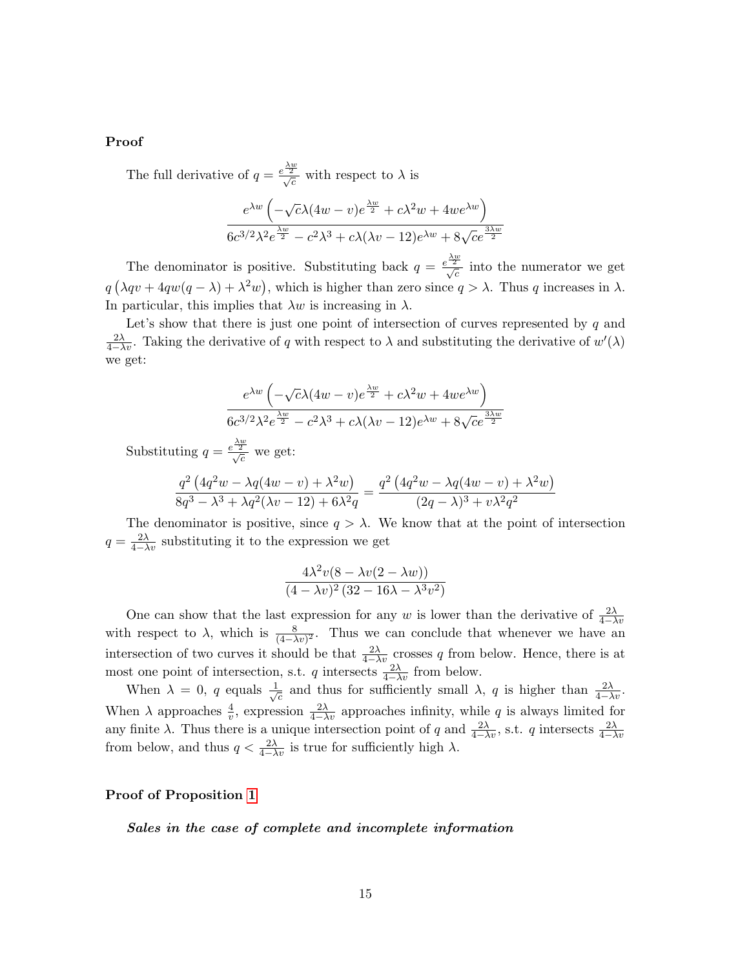### Proof

The full derivative of  $q = \frac{e^{\frac{\lambda w}{2}}}{\sqrt{c}}$  with respect to  $\lambda$  is

$$
\frac{e^{\lambda w} \left(-\sqrt{c}\lambda (4w-v)e^{\frac{\lambda w}{2}} + c\lambda^2 w + 4we^{\lambda w}\right)}{6c^{3/2}\lambda^2 e^{\frac{\lambda w}{2}} - c^2\lambda^3 + c\lambda(\lambda v - 12)e^{\lambda w} + 8\sqrt{c}e^{\frac{3\lambda w}{2}}}
$$

The denominator is positive. Substituting back  $q = \frac{e^{\frac{\lambda w}{2}}}{\sqrt{c}}$  into the numerator we get  $q(\lambda qv + 4qw(q - \lambda) + \lambda^2 w)$ , which is higher than zero since  $q > \lambda$ . Thus q increases in  $\lambda$ . In particular, this implies that  $\lambda w$  is increasing in  $\lambda$ .

Let's show that there is just one point of intersection of curves represented by  $q$  and  $\frac{2\lambda}{4-\lambda v}$ . Taking the derivative of q with respect to  $\lambda$  and substituting the derivative of  $w'(\lambda)$ we get:

$$
\frac{e^{\lambda w} \left(-\sqrt{c}\lambda (4w-v)e^{\frac{\lambda w}{2}} + c\lambda^2 w + 4we^{\lambda w}\right)}{6c^{3/2}\lambda^2 e^{\frac{\lambda w}{2}} - c^2\lambda^3 + c\lambda(\lambda v - 12)e^{\lambda w} + 8\sqrt{c}e^{\frac{3\lambda w}{2}}}
$$

Substituting  $q = \frac{e^{\frac{\lambda w}{2}}}{\sqrt{c}}$  we get:

$$
\frac{q^2 (4q^2w - \lambda q(4w - v) + \lambda^2 w)}{8q^3 - \lambda^3 + \lambda q^2(\lambda v - 12) + 6\lambda^2 q} = \frac{q^2 (4q^2w - \lambda q(4w - v) + \lambda^2 w)}{(2q - \lambda)^3 + v\lambda^2 q^2}
$$

The denominator is positive, since  $q > \lambda$ . We know that at the point of intersection  $q = \frac{2\lambda}{4-\lambda v}$  substituting it to the expression we get

$$
\frac{4\lambda^2v(8-\lambda v(2-\lambda w))}{(4-\lambda v)^2(32-16\lambda-\lambda^3v^2)}
$$

One can show that the last expression for any w is lower than the derivative of  $\frac{2\lambda}{4-\lambda v}$ with respect to  $\lambda$ , which is  $\frac{8}{(4-\lambda v)^2}$ . Thus we can conclude that whenever we have an intersection of two curves it should be that  $\frac{2\lambda}{4-\lambda v}$  crosses q from below. Hence, there is at most one point of intersection, s.t. q intersects  $\frac{2\lambda}{4-\lambda v}$  from below.

When  $\lambda = 0$ , q equals  $\frac{1}{\lambda}$  $\overline{c}$  and thus for sufficiently small  $\lambda$ , q is higher than  $\frac{2\lambda}{4-\lambda v}$ . When  $\lambda$  approaches  $\frac{4}{v}$ , expression  $\frac{2\lambda}{4-\lambda v}$  approaches infinity, while q is always limited for any finite  $\lambda$ . Thus there is a unique intersection point of q and  $\frac{2\lambda}{4-\lambda v}$ , s.t. q intersects  $\frac{2\lambda}{4-\lambda v}$ from below, and thus  $q < \frac{2\lambda}{4-\lambda v}$  is true for sufficiently high  $\lambda$ .

#### Proof of Proposition [1](#page-6-0)

Sales in the case of complete and incomplete information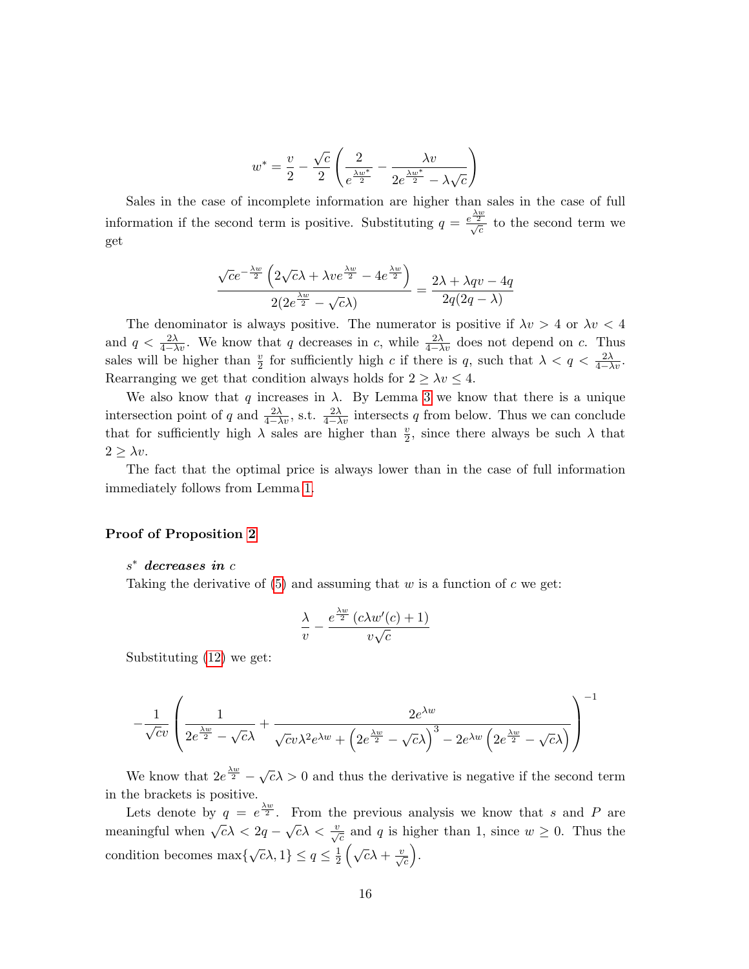$$
w^* = \frac{v}{2} - \frac{\sqrt{c}}{2} \left( \frac{2}{e^{\frac{\lambda w^*}{2}}} - \frac{\lambda v}{2e^{\frac{\lambda w^*}{2}} - \lambda \sqrt{c}} \right)
$$

Sales in the case of incomplete information are higher than sales in the case of full information if the second term is positive. Substituting  $q = \frac{e^{\frac{\lambda w}{2}}}{\sqrt{c}}$  to the second term we get

$$
\frac{\sqrt{c}e^{-\frac{\lambda w}{2}}\left(2\sqrt{c}\lambda + \lambda ve^{\frac{\lambda w}{2}} - 4e^{\frac{\lambda w}{2}}\right)}{2(2e^{\frac{\lambda w}{2}} - \sqrt{c}\lambda)} = \frac{2\lambda + \lambda qv - 4q}{2q(2q - \lambda)}
$$

The denominator is always positive. The numerator is positive if  $\lambda v > 4$  or  $\lambda v < 4$ and  $q < \frac{2\lambda}{4-\lambda v}$ . We know that q decreases in c, while  $\frac{2\lambda}{4-\lambda v}$  does not depend on c. Thus sales will be higher than  $\frac{v}{2}$  for sufficiently high c if there is q, such that  $\lambda < q < \frac{2\lambda}{4-\lambda v}$ . Rearranging we get that condition always holds for  $2 \geq \lambda v \leq 4$ .

We also know that q increases in  $\lambda$ . By Lemma [3](#page-13-0) we know that there is a unique intersection point of q and  $\frac{2\lambda}{4-\lambda v}$ , s.t.  $\frac{2\lambda}{4-\lambda v}$  intersects q from below. Thus we can conclude that for sufficiently high  $\lambda$  sales are higher than  $\frac{v}{2}$ , since there always be such  $\lambda$  that  $2 > \lambda v$ .

The fact that the optimal price is always lower than in the case of full information immediately follows from Lemma [1.](#page-5-0)

### Proof of Proposition [2](#page-6-1)

## s <sup>∗</sup> decreases in c

Taking the derivative of  $(5)$  and assuming that w is a function of c we get:

$$
\frac{\lambda}{v} - \frac{e^{\frac{\lambda w}{2}} (c\lambda w'(c) + 1)}{v\sqrt{c}}
$$

Substituting [\(12\)](#page-13-1) we get:

$$
-\frac{1}{\sqrt{c}v}\left(\frac{1}{2e^{\frac{\lambda w}{2}}-\sqrt{c}\lambda}+\frac{2e^{\lambda w}}{\sqrt{c}v\lambda^2e^{\lambda w}+\left(2e^{\frac{\lambda w}{2}}-\sqrt{c}\lambda\right)^3-2e^{\lambda w}\left(2e^{\frac{\lambda w}{2}}-\sqrt{c}\lambda\right)}\right)^{-1}
$$

We know that  $2e^{\frac{\lambda w}{2}} - \sqrt{c\lambda} > 0$  and thus the derivative is negative if the second term in the brackets is positive.

Lets denote by  $q = e^{\lambda w \over 2}$ . From the previous analysis we know that s and P are meaningful when  $\sqrt{c\lambda} < 2q - \sqrt{c\lambda} < \frac{v}{\sqrt{c}}$  and q is higher than 1, since  $w \ge 0$ . Thus the condition becomes  $\max\{\sqrt{c}\lambda, 1\} \leq q \leq \frac{1}{2}$  $\frac{1}{2}\left(\sqrt{c}\lambda+\frac{v}{\sqrt{c}}\right)$ .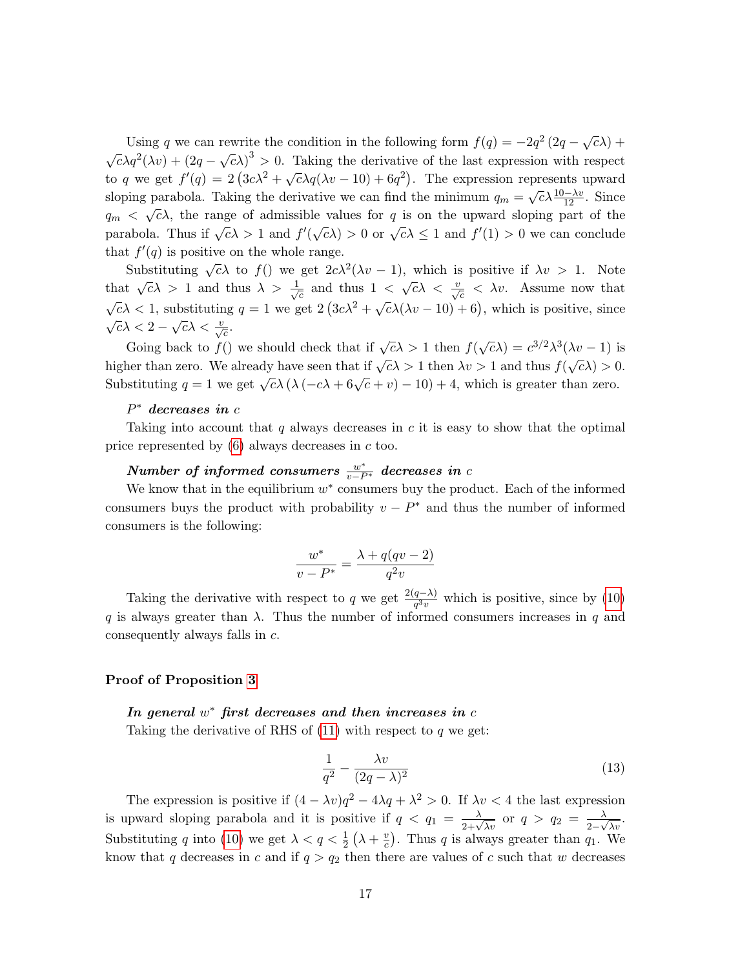Using q we can rewrite the condition in the following form  $f(q) = -2q^2(2q - \sqrt{c}\lambda) +$  $\sqrt{c\lambda}q^2(\lambda v) + (2q - \sqrt{c\lambda})^3 > 0$ . Taking the derivative of the last expression with respect  $\alpha$  and  $\alpha$  we get  $f'(q) = 2(3c\lambda^2 + \sqrt{c\lambda q(\lambda v - 10) + 6q^2})$ . The expression represents upward sloping parabola. Taking the derivative we can find the minimum  $q_m = \sqrt{c} \lambda \frac{10 - \lambda v}{12}$ . Since  $q_m < \sqrt{c}\lambda$ , the range of admissible values for q is on the upward sloping part of the  $q_m \to \sqrt{\epsilon}$ , the range of damnships values for  $q$  is on the applied stoping part of the parabola. Thus if  $\sqrt{c}\lambda > 1$  and  $f'(\sqrt{c}\lambda) > 0$  or  $\sqrt{c}\lambda \le 1$  and  $f'(1) > 0$  we can conclude that  $f'(q)$  is positive on the whole range.

Substituting  $\sqrt{c}\lambda$  to  $f()$  we get  $2c\lambda^2(\lambda v - 1)$ , which is positive if  $\lambda v > 1$ . Note that  $\sqrt{c}\lambda > 1$  and thus  $\lambda > \frac{1}{\sqrt{c}}$  $\frac{1}{c}$  and thus  $1 < \sqrt{c\lambda} < \frac{v}{\sqrt{c}} < \lambda v$ . Assume now that  $\sqrt{c}$  $\sqrt{c}\lambda < 1$ , substituting  $q = 1$  we get  $2(3c\lambda^2 + \sqrt{c}\lambda(\lambda v - 10) + 6)$ , which is positive, since  $\overline{c}\lambda < 2 - \sqrt{c}\lambda < \frac{v}{\sqrt{c}}.$ 

Going back to  $f()$  we should check that if  $\sqrt{c}\lambda > 1$  then  $f(\sqrt{c}\lambda) = c^{3/2}\lambda^3(\lambda v - 1)$  is higher than zero. We already have seen that if  $\sqrt{c\lambda} > 1$  then  $\lambda v > 1$  and thus  $f(\sqrt{c\lambda}) > 0$ . Substituting  $q = 1$  we get  $\sqrt{c\lambda} (\lambda (-c\lambda + 6\sqrt{c} + v) - 10) + 4$ , which is greater than zero.

# $P^*$  decreases in  $c$

Taking into account that  $q$  always decreases in  $c$  it is easy to show that the optimal price represented by [\(6\)](#page-11-5) always decreases in c too.

# $\emph{Number of informed consumers $\frac{w^*}{v-P^*}$ decreases in c}$

We know that in the equilibrium  $w^*$  consumers buy the product. Each of the informed consumers buys the product with probability  $v - P^*$  and thus the number of informed consumers is the following:

$$
\frac{w^*}{v - P^*} = \frac{\lambda + q(qv - 2)}{q^2 v}
$$

Taking the derivative with respect to q we get  $\frac{2(q-\lambda)}{q^{3}v}$  which is positive, since by [\(10\)](#page-12-0) q is always greater than  $\lambda$ . Thus the number of informed consumers increases in q and consequently always falls in c.

### Proof of Proposition [3](#page-7-0)

## In general  $w^*$  first decreases and then increases in  $c$

Taking the derivative of RHS of  $(11)$  with respect to q we get:

<span id="page-16-0"></span>
$$
\frac{1}{q^2} - \frac{\lambda v}{(2q - \lambda)^2} \tag{13}
$$

The expression is positive if  $(4 - \lambda v)q^2 - 4\lambda q + \lambda^2 > 0$ . If  $\lambda v < 4$  the last expression is upward sloping parabola and it is positive if  $q < q_1 = \frac{\lambda}{2+\sqrt{\lambda v}}$  or  $q > q_2 = \frac{\lambda}{2-\sqrt{\lambda v}}$  $\frac{\lambda}{2-\sqrt{\lambda v}}$ . Substituting q into [\(10\)](#page-12-0) we get  $\lambda < q < \frac{1}{2}(\lambda + \frac{v}{c})$  $\frac{v}{c}$ ). Thus q is always greater than  $q_1$ . We know that q decreases in c and if  $q > q_2$  then there are values of c such that w decreases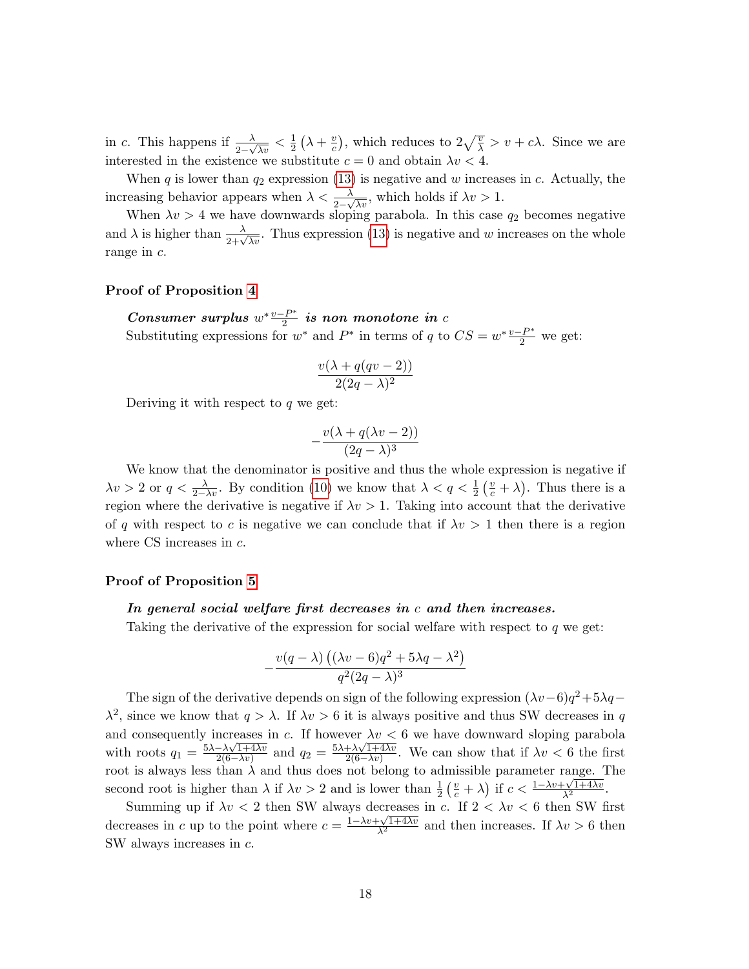in c. This happens if  $\frac{\lambda}{2-\sqrt{\lambda v}} < \frac{1}{2}$  $rac{1}{2}(\lambda + \frac{v}{c})$  $(\frac{v}{c})$ , which reduces to  $2\sqrt{\frac{v}{\lambda}} > v + c\lambda$ . Since we are interested in the existence we substitute  $c = 0$  and obtain  $\lambda v < 4$ .

When q is lower than  $q_2$  expression [\(13\)](#page-16-0) is negative and w increases in c. Actually, the increasing behavior appears when  $\lambda < \frac{\lambda}{2-\sqrt{\lambda v}}$ , which holds if  $\lambda v > 1$ .

When  $\lambda v > 4$  we have downwards sloping parabola. In this case  $q_2$  becomes negative and  $\lambda$  is higher than  $\frac{\lambda}{2+\sqrt{\lambda v}}$ . Thus expression [\(13\)](#page-16-0) is negative and w increases on the whole range in c.

#### Proof of Proposition [4](#page-7-1)

Consumer surplus  $w^* \frac{v-P^*}{2}$  $\frac{e^{-\boldsymbol{P}^*}}{2}$  is non monotone in  $c$ Substituting expressions for  $w^*$  and  $P^*$  in terms of q to  $CS = w^* \frac{v - P^*}{2}$  we get:

$$
\frac{v(\lambda + q(qv - 2))}{2(2q - \lambda)^2}
$$

Deriving it with respect to  $q$  we get:

$$
-\frac{v(\lambda+q(\lambda v-2))}{(2q-\lambda)^3}
$$

We know that the denominator is positive and thus the whole expression is negative if  $\lambda v > 2$  or  $q < \frac{\lambda}{2-\lambda v}$ . By condition [\(10\)](#page-12-0) we know that  $\lambda < q < \frac{1}{2}(\frac{v}{c} + \lambda)$ . Thus there is a region where the derivative is negative if  $\lambda v > 1$ . Taking into account that the derivative of q with respect to c is negative we can conclude that if  $\lambda v > 1$  then there is a region where CS increases in  $c$ .

#### Proof of Proposition [5](#page-8-0)

#### In general social welfare first decreases in c and then increases.

Taking the derivative of the expression for social welfare with respect to  $q$  we get:

$$
-\frac{v(q-\lambda)\left((\lambda v-6)q^2+5\lambda q-\lambda^2\right)}{q^2(2q-\lambda)^3}
$$

The sign of the derivative depends on sign of the following expression  $(\lambda v - 6)q^2 + 5\lambda q$  $\lambda^2$ , since we know that  $q > \lambda$ . If  $\lambda v > 6$  it is always positive and thus SW decreases in q and consequently increases in c. If however  $\lambda v < 6$  we have downward sloping parabola with roots  $q_1 = \frac{5\lambda - \lambda\sqrt{1+4\lambda v}}{2(6-\lambda v)}$  $\frac{-\lambda\sqrt{1+4\lambda v}}{2(6-\lambda v)}$  and  $q_2 = \frac{5\lambda + \lambda\sqrt{1+4\lambda v}}{2(6-\lambda v)}$  $\frac{+\lambda\sqrt{1+4\lambda v}}{2(6-\lambda v)}$ . We can show that if  $\lambda v < 6$  the first root is always less than  $\lambda$  and thus does not belong to admissible parameter range. The second root is higher than  $\lambda$  if  $\lambda v > 2$  and is lower than  $\frac{1}{2} \left( \frac{v}{c} + \lambda \right)$  if  $c < \frac{1 - \lambda v + \sqrt{1 + 4\lambda v}}{\lambda^2}$ .

Summing up if  $\lambda v < 2$  then SW always decreases in c. If  $2 < \lambda v < 6$  then SW first decreases in c up to the point where  $c = \frac{1 - \lambda v + \sqrt{1 + 4\lambda v}}{\lambda^2}$  and then increases. If  $\lambda v > 6$  then SW always increases in c.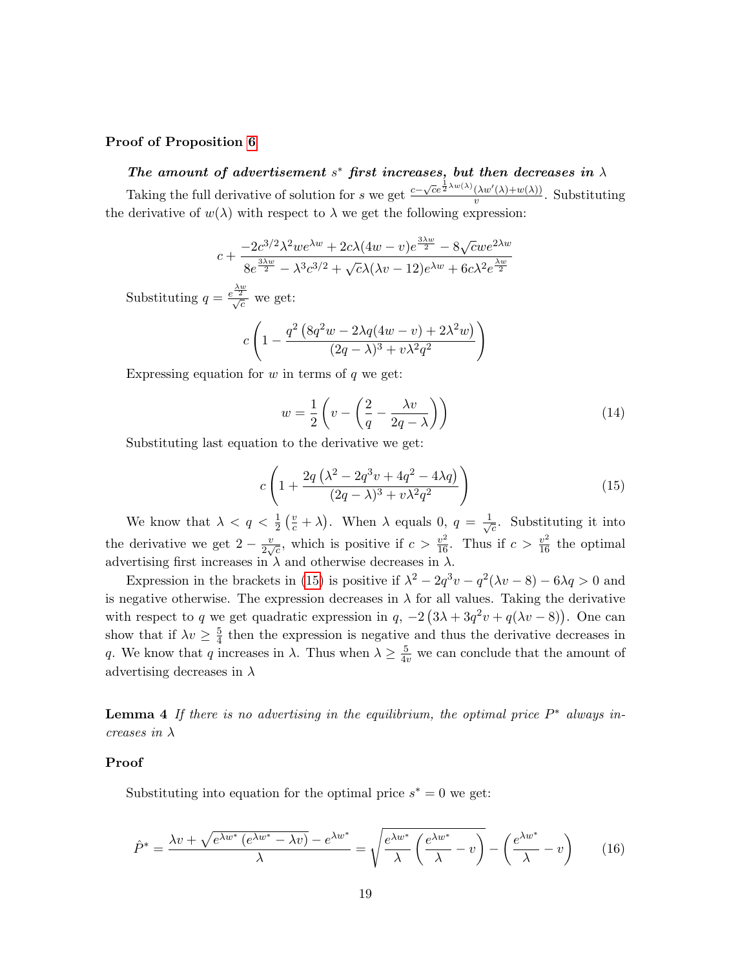### Proof of Proposition [6](#page-9-2)

# The amount of advertisement  $s^*$  first increases, but then decreases in  $\lambda$

Taking the full derivative of solution for s we get  $\frac{c-\sqrt{c}e^{\frac{1}{2}\lambda w(\lambda)}(\lambda w'(\lambda)+w(\lambda))}{w}$  $\frac{(\lambda w \ (\lambda) + w(\lambda))}{v}$ . Substituting the derivative of  $w(\lambda)$  with respect to  $\lambda$  we get the following expression:

$$
c + \frac{-2c^{3/2}\lambda^2we^{\lambda w} + 2c\lambda(4w - v)e^{\frac{3\lambda w}{2}} - 8\sqrt{c}we^{2\lambda w}}{8e^{\frac{3\lambda w}{2}} - \lambda^3c^{3/2} + \sqrt{c}\lambda(\lambda v - 12)e^{\lambda w} + 6c\lambda^2e^{\frac{\lambda w}{2}}}
$$

Substituting  $q = \frac{e^{\frac{\lambda w}{2}}}{\sqrt{c}}$  we get:

$$
c\left(1 - \frac{q^2\left(8q^2w - 2\lambda q(4w - v) + 2\lambda^2 w\right)}{(2q - \lambda)^3 + v\lambda^2 q^2}\right)
$$

Expressing equation for  $w$  in terms of  $q$  we get:

<span id="page-18-1"></span>
$$
w = \frac{1}{2} \left( v - \left( \frac{2}{q} - \frac{\lambda v}{2q - \lambda} \right) \right) \tag{14}
$$

Substituting last equation to the derivative we get:

<span id="page-18-0"></span>
$$
c\left(1+\frac{2q\left(\lambda^2-2q^3v+4q^2-4\lambda q\right)}{(2q-\lambda)^3+v\lambda^2q^2}\right)
$$
\n(15)

We know that  $\lambda < q < \frac{1}{2} \left( \frac{v}{c} + \lambda \right)$ . When  $\lambda$  equals 0,  $q = \frac{1}{\sqrt{\lambda}}$  $\overline{c}$ . Substituting it into the derivative we get  $2 - \frac{v}{2}$  $\frac{v}{2\sqrt{c}}$ , which is positive if  $c > \frac{v^2}{16}$ . Thus if  $c > \frac{v^2}{16}$  the optimal advertising first increases in  $\lambda$  and otherwise decreases in  $\lambda$ .

Expression in the brackets in [\(15\)](#page-18-0) is positive if  $\lambda^2 - 2q^3v - q^2(\lambda v - 8) - 6\lambda q > 0$  and is negative otherwise. The expression decreases in  $\lambda$  for all values. Taking the derivative with respect to q we get quadratic expression in  $q$ ,  $-2(3\lambda + 3q^2v + q(\lambda v - 8))$ . One can show that if  $\lambda v \geq \frac{5}{4}$  $\frac{5}{4}$  then the expression is negative and thus the derivative decreases in q. We know that q increases in  $\lambda$ . Thus when  $\lambda \geq \frac{5}{4v}$  we can conclude that the amount of advertising decreases in  $\lambda$ 

<span id="page-18-2"></span>**Lemma 4** If there is no advertising in the equilibrium, the optimal price  $P^*$  always increases in  $\lambda$ 

### Proof

Substituting into equation for the optimal price  $s^* = 0$  we get:

$$
\hat{P}^* = \frac{\lambda v + \sqrt{e^{\lambda w^*} \left(e^{\lambda w^*} - \lambda v\right)} - e^{\lambda w^*}}{\lambda} = \sqrt{\frac{e^{\lambda w^*}}{\lambda} \left(\frac{e^{\lambda w^*}}{\lambda} - v\right)} - \left(\frac{e^{\lambda w^*}}{\lambda} - v\right) \tag{16}
$$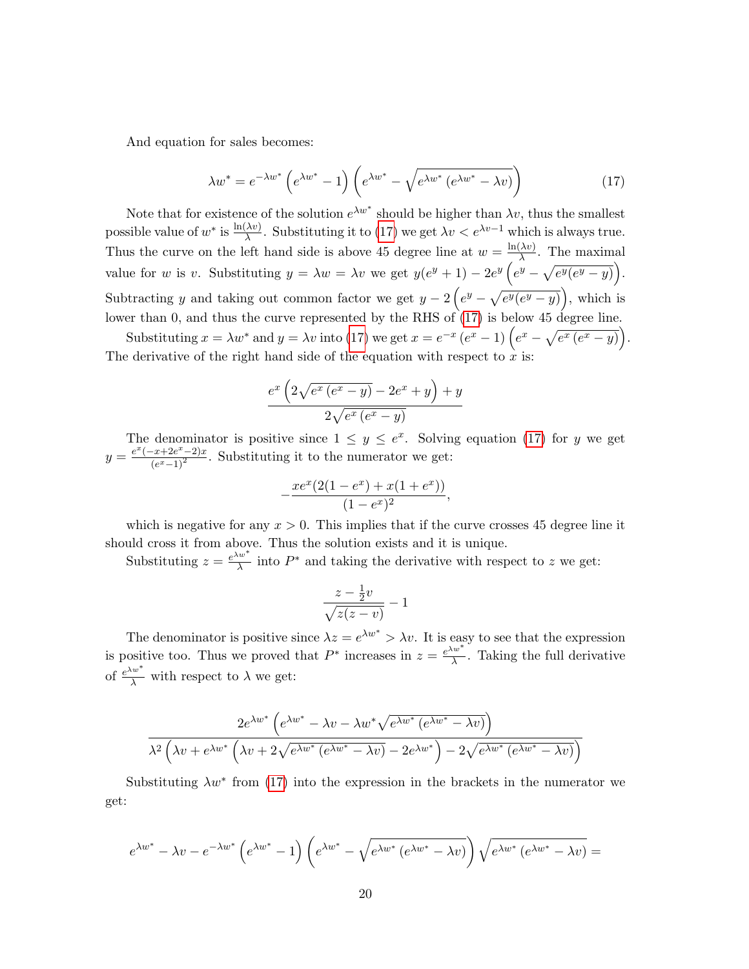And equation for sales becomes:

<span id="page-19-0"></span>
$$
\lambda w^* = e^{-\lambda w^*} \left( e^{\lambda w^*} - 1 \right) \left( e^{\lambda w^*} - \sqrt{e^{\lambda w^*} \left( e^{\lambda w^*} - \lambda v \right)} \right) \tag{17}
$$

Note that for existence of the solution  $e^{\lambda w^*}$  should be higher than  $\lambda v$ , thus the smallest possible value of  $w^*$  is  $\frac{\ln(\lambda v)}{\lambda}$ . Substituting it to [\(17\)](#page-19-0) we get  $\lambda v < e^{\lambda v - 1}$  which is always true. Thus the curve on the left hand side is above 45 degree line at  $w = \frac{\ln(\lambda v)}{\lambda}$  $\frac{\lambda v}{\lambda}$ . The maximal value for w is v. Substituting  $y = \lambda w = \lambda v$  we get  $y(e^y + 1) - 2e^y(e^y - \sqrt{e^y(e^y - y)}).$ Subtracting y and taking out common factor we get  $y - 2(e^y - \sqrt{e^y(e^y - y)})$ , which is lower than 0, and thus the curve represented by the RHS of  $(17)$  is below 45 degree line.

Substituting  $x = \lambda w^*$  and  $y = \lambda v$  into [\(17\)](#page-19-0) we get  $x = e^{-x} (e^x - 1) (e^x - \sqrt{e^x (e^x - y)})$ . The derivative of the right hand side of the equation with respect to  $\dot{x}$  is:

$$
\frac{e^x\left(2\sqrt{e^x\left(e^x-y\right)}-2e^x+y\right)+y}{2\sqrt{e^x\left(e^x-y\right)}}
$$

The denominator is positive since  $1 \leq y \leq e^x$ . Solving equation [\(17\)](#page-19-0) for y we get  $y = \frac{e^x(-x+2e^x-2)x}{(e^x-1)^2}$  $\frac{(x+2e^x-2)x}{(e^x-1)^2}$ . Substituting it to the numerator we get:

$$
-\frac{xe^x(2(1-e^x)+x(1+e^x))}{(1-e^x)^2},
$$

which is negative for any  $x > 0$ . This implies that if the curve crosses 45 degree line it should cross it from above. Thus the solution exists and it is unique.

Substituting  $z = \frac{e^{\lambda w^*}}{\lambda}$  $\frac{w^2}{\lambda}$  into  $P^*$  and taking the derivative with respect to z we get:

$$
\frac{z - \frac{1}{2}v}{\sqrt{z(z - v)}} - 1
$$

The denominator is positive since  $\lambda z = e^{\lambda w^*} > \lambda v$ . It is easy to see that the expression is positive too. Thus we proved that  $P^*$  increases in  $z = e^{\lambda w^*}$  $\frac{dS}{dt}$ . Taking the full derivative of  $\frac{e^{\lambda w^*}}{\lambda}$  with respect to  $\lambda$  we get:

$$
\frac{2e^{\lambda w^*} \left(e^{\lambda w^*} - \lambda v - \lambda w^* \sqrt{e^{\lambda w^*} \left(e^{\lambda w^*} - \lambda v\right)}\right)}{\lambda^2 \left(\lambda v + e^{\lambda w^*} \left(\lambda v + 2\sqrt{e^{\lambda w^*} \left(e^{\lambda w^*} - \lambda v\right)} - 2e^{\lambda w^*}\right) - 2\sqrt{e^{\lambda w^*} \left(e^{\lambda w^*} - \lambda v\right)}\right)}
$$

Substituting  $\lambda w^*$  from [\(17\)](#page-19-0) into the expression in the brackets in the numerator we get:

$$
e^{\lambda w^*} - \lambda v - e^{-\lambda w^*} \left( e^{\lambda w^*} - 1 \right) \left( e^{\lambda w^*} - \sqrt{e^{\lambda w^*} \left( e^{\lambda w^*} - \lambda v \right)} \right) \sqrt{e^{\lambda w^*} \left( e^{\lambda w^*} - \lambda v \right)} =
$$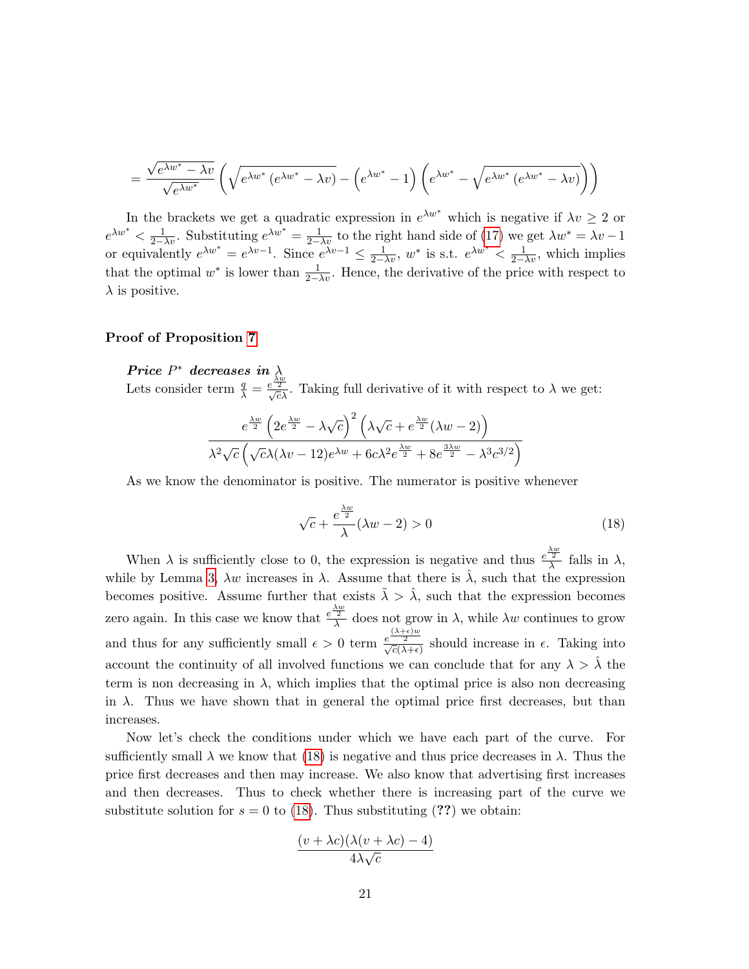$$
= \frac{\sqrt{e^{\lambda w^*} - \lambda v}}{\sqrt{e^{\lambda w^*}}} \left( \sqrt{e^{\lambda w^*} (e^{\lambda w^*} - \lambda v)} - \left( e^{\lambda w^*} - 1 \right) \left( e^{\lambda w^*} - \sqrt{e^{\lambda w^*} (e^{\lambda w^*} - \lambda v)} \right) \right)
$$

In the brackets we get a quadratic expression in  $e^{\lambda w^*}$  which is negative if  $\lambda v \geq 2$  or  $e^{\lambda w^*} < \frac{1}{2-\lambda v}$ . Substituting  $e^{\lambda w^*} = \frac{1}{2-\lambda v}$  to the right hand side of [\(17\)](#page-19-0) we get  $\lambda w^* = \lambda v - 1$ or equivalently  $e^{\lambda w^*} = e^{\lambda v - 1}$ . Since  $e^{\lambda v - 1} \le \frac{1}{2 - \lambda v}$ ,  $w^*$  is s.t.  $e^{\lambda w^*} < \frac{1}{2 - \lambda v}$ , which implies that the optimal  $w^*$  is lower than  $\frac{1}{2-\lambda v}$ . Hence, the derivative of the price with respect to  $\lambda$  is positive.

### Proof of Proposition [7](#page-9-0)

Price  $P^*$  decreases in  $\lambda$ Lets consider term  $\frac{q}{\lambda} = \frac{e^{\frac{\lambda w}{2}}}{\sqrt{c}\lambda}$ . Taking full derivative of it with respect to  $\lambda$  we get:

$$
\frac{e^{\frac{\lambda w}{2}} \left(2 e^{\frac{\lambda w}{2}} - \lambda \sqrt{c}\right)^2 \left(\lambda \sqrt{c} + e^{\frac{\lambda w}{2}} (\lambda w - 2)\right)}{\lambda^2 \sqrt{c} \left(\sqrt{c} \lambda (\lambda v - 12)e^{\lambda w} + 6c \lambda^2 e^{\frac{\lambda w}{2}} + 8e^{\frac{3\lambda w}{2}} - \lambda^3 c^{3/2}\right)}
$$

As we know the denominator is positive. The numerator is positive whenever

<span id="page-20-0"></span>
$$
\sqrt{c} + \frac{e^{\frac{\lambda w}{2}}}{\lambda} (\lambda w - 2) > 0
$$
\n(18)

When  $\lambda$  is sufficiently close to 0, the expression is negative and thus  $e^{\frac{\lambda w}{2}}$  falls in  $\lambda$ , while by Lemma [3,](#page-13-0)  $\lambda w$  increases in  $\lambda$ . Assume that there is  $\hat{\lambda}$ , such that the expression becomes positive. Assume further that exists  $\tilde{\lambda} > \hat{\lambda}$ , such that the expression becomes zero again. In this case we know that  $e^{\frac{\lambda w}{2}}$  does not grow in  $\lambda$ , while  $\lambda w$  continues to grow and thus for any sufficiently small  $\epsilon > 0$  term  $\frac{e^{\lambda + \epsilon}w}{\sqrt{c(\lambda + \epsilon)}}$  should increase in  $\epsilon$ . Taking into account the continuity of all involved functions we can conclude that for any  $\lambda > \hat{\lambda}$  the term is non decreasing in  $\lambda$ , which implies that the optimal price is also non decreasing in  $\lambda$ . Thus we have shown that in general the optimal price first decreases, but than increases.

Now let's check the conditions under which we have each part of the curve. For sufficiently small  $\lambda$  we know that [\(18\)](#page-20-0) is negative and thus price decreases in  $\lambda$ . Thus the price first decreases and then may increase. We also know that advertising first increases and then decreases. Thus to check whether there is increasing part of the curve we substitute solution for  $s = 0$  to [\(18\)](#page-20-0). Thus substituting (??) we obtain:

$$
\frac{(v + \lambda c)(\lambda(v + \lambda c) - 4)}{4\lambda\sqrt{c}}
$$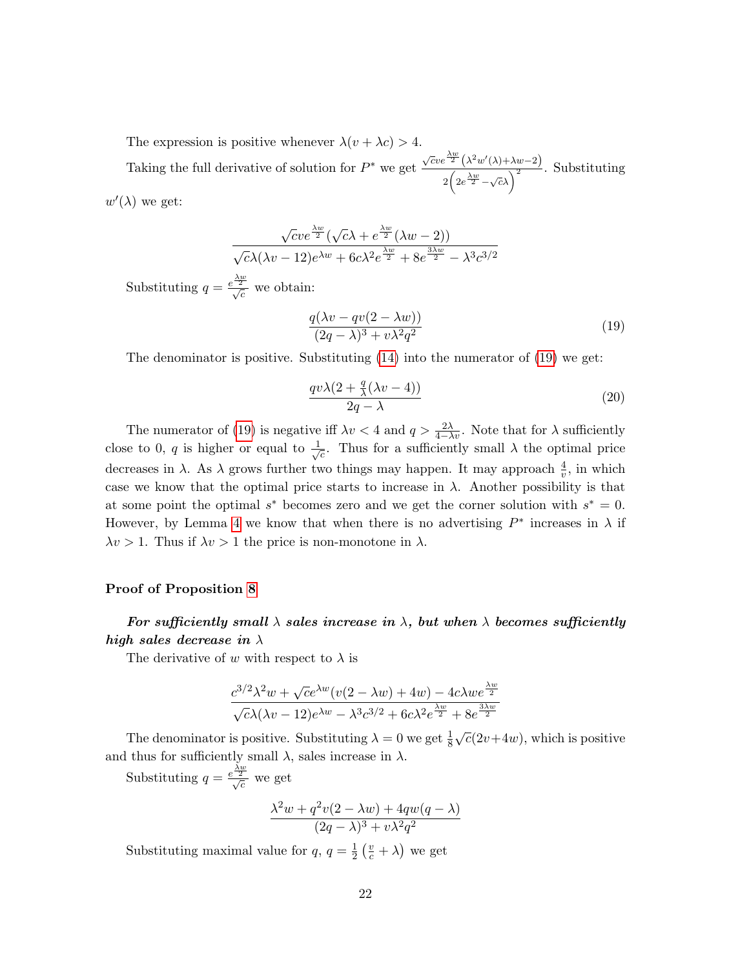The expression is positive whenever  $\lambda(v + \lambda c) > 4$ .

Taking the full derivative of solution for  $P^*$  we get  $\sqrt{c}ve^{\frac{\lambda w}{2}}(\lambda^2 w'(\lambda)+\lambda w-2)$  $\frac{2\left(2e^{\frac{\lambda w}{2}}-\sqrt{c\lambda}\right)^2}{2\left(2e^{\frac{\lambda w}{2}}-\sqrt{c\lambda}\right)^2}$ . Substituting

 $w'(\lambda)$  we get:

$$
\frac{\sqrt{c}ve^{\frac{\lambda w}{2}}(\sqrt{c}\lambda + e^{\frac{\lambda w}{2}}(\lambda w - 2))}{\sqrt{c}\lambda(\lambda v - 12)e^{\lambda w} + 6c\lambda^2 e^{\frac{\lambda w}{2}} + 8e^{\frac{3\lambda w}{2}} - \lambda^3 c^{3/2}}
$$

Substituting  $q = \frac{e^{\lambda w}}{\sqrt{c}}$  we obtain:

<span id="page-21-0"></span>
$$
\frac{q(\lambda v - qv(2 - \lambda w))}{(2q - \lambda)^3 + v\lambda^2 q^2} \tag{19}
$$

The denominator is positive. Substituting  $(14)$  into the numerator of  $(19)$  we get:

$$
\frac{qv\lambda(2+\frac{q}{\lambda}(\lambda v-4))}{2q-\lambda} \tag{20}
$$

The numerator of [\(19\)](#page-21-0) is negative iff  $\lambda v < 4$  and  $q > \frac{2\lambda}{4-\lambda v}$ . Note that for  $\lambda$  sufficiently close to 0, q is higher or equal to  $\frac{1}{4}$  $\frac{1}{c}$ . Thus for a sufficiently small  $\lambda$  the optimal price decreases in  $\lambda$ . As  $\lambda$  grows further two things may happen. It may approach  $\frac{4}{v}$ , in which case we know that the optimal price starts to increase in  $\lambda$ . Another possibility is that at some point the optimal  $s^*$  becomes zero and we get the corner solution with  $s^* = 0$ . However, by Lemma [4](#page-18-2) we know that when there is no advertising  $P^*$  increases in  $\lambda$  if  $\lambda v > 1$ . Thus if  $\lambda v > 1$  the price is non-monotone in  $\lambda$ .

### Proof of Proposition [8](#page-9-1)

# For sufficiently small  $\lambda$  sales increase in  $\lambda$ , but when  $\lambda$  becomes sufficiently high sales decrease in  $\lambda$

The derivative of w with respect to  $\lambda$  is

$$
\frac{c^{3/2}\lambda^2w + \sqrt{c}e^{\lambda w}(v(2-\lambda w) + 4w) - 4c\lambda we^{\frac{\lambda w}{2}}}{\sqrt{c}\lambda(\lambda v - 12)e^{\lambda w} - \lambda^3c^{3/2} + 6c\lambda^2e^{\frac{\lambda w}{2}} + 8e^{\frac{3\lambda w}{2}}}
$$

The denominator is positive. Substituting  $\lambda = 0$  we get  $\frac{1}{8}$  $\sqrt{c}(2v+4w)$ , which is positive and thus for sufficiently small  $\lambda$ , sales increase in  $\lambda$ .

Substituting  $q = \frac{e^{\lambda w}}{\sqrt{c}}$  we get

$$
\frac{\lambda^2 w + q^2 v(2 - \lambda w) + 4qw(q - \lambda)}{(2q - \lambda)^3 + v\lambda^2 q^2}
$$

Substituting maximal value for  $q, q = \frac{1}{2}$  $\frac{1}{2}(\frac{v}{c}+\lambda)$  we get